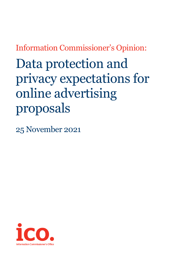Information Commissioner's Opinion:

Data protection and privacy expectations for online advertising proposals

25 November 2021

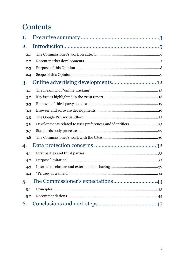# **Contents**

| 1.  |                                                              |      |
|-----|--------------------------------------------------------------|------|
| 2.  |                                                              |      |
| 2.1 |                                                              |      |
| 2.2 |                                                              |      |
| 2.3 |                                                              |      |
| 2.4 |                                                              |      |
| 3.  |                                                              |      |
| 3.1 |                                                              |      |
| 3.2 |                                                              |      |
| 3.3 |                                                              |      |
| 3.4 |                                                              |      |
| 3.5 |                                                              |      |
| 3.6 | Developments related to user preferences and identifiers  25 |      |
| 3.7 |                                                              |      |
| 3.8 |                                                              |      |
| 4.  |                                                              |      |
| 4.1 |                                                              |      |
| 4.2 |                                                              |      |
| 4.3 |                                                              |      |
| 4.4 |                                                              | . 41 |
| 5.  |                                                              |      |
| 5.1 |                                                              |      |
| 5.2 |                                                              |      |
| 6.  |                                                              |      |
|     |                                                              |      |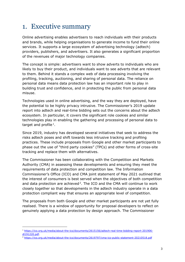# <span id="page-2-0"></span>1. Executive summary

Online advertising enables advertisers to reach individuals with their products and brands, while helping organisations to generate income to fund their online services. It supports a large ecosystem of advertising technology (adtech) providers, publishers, and advertisers. It also generates a significant proportion of the revenues of major technology companies.

The concept is simple: advertisers want to show adverts to individuals who are likely to buy their product, and individuals want to see adverts that are relevant to them. Behind it stands a complex web of data processing involving the profiling, tracking, auctioning, and sharing of personal data. The reliance on personal data means data protection law has an important role to play in building trust and confidence, and in protecting the public from personal data misuse.

Technologies used in online advertising, and the way they are deployed, have the potential to be highly privacy intrusive. The Commissioner's 2019 update report into adtech and real-time bidding sets out the concerns about the adtech ecosystem. In particular, it covers the significant role cookies and similar technologies play in enabling the gathering and processing of personal data to target and profile  $1$ .

Since 2019, industry has developed several initiatives that seek to address the risks adtech poses and shift towards less intrusive tracking and profiling practices. These include proposals from Google and other market participants to phase out the use of "third party cookies" (TPCs) and other forms of cross-site tracking and replace them with alternatives.

The Commissioner has been collaborating with the Competition and Markets Authority (CMA) in assessing these developments and ensuring they meet the requirements of data protection and competition law. The Information Commissioner's Office (ICO) and CMA joint statement of May 2021 outlined that the interest of consumers is best served when the objectives of both competition and data protection are achieved<sup>2</sup>. The ICO and the CMA will continue to work closely together so that developments in the adtech industry operate in a data protection compliant way that ensures an appropriate level of competition.

The proposals from both Google and other market participants are not yet fully realised. There is a window of opportunity for proposal developers to reflect on genuinely applying a data protection by design approach. The Commissioner

<span id="page-2-1"></span><sup>1</sup> [https://ico.org.uk/media/about-the-ico/documents/2615156/adtech-real-time-bidding-report-201906](https://ico.org.uk/media/about-the-ico/documents/2615156/adtech-real-time-bidding-report-201906-dl191220.pdf) [dl191220.pdf.](https://ico.org.uk/media/about-the-ico/documents/2615156/adtech-real-time-bidding-report-201906-dl191220.pdf)

<span id="page-2-2"></span><sup>2</sup> <https://ico.org.uk/media/about-the-ico/documents/2619797/cma-ico-public-statement-20210518.pdf>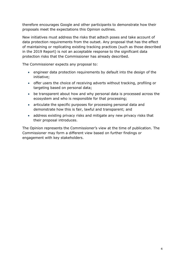therefore encourages Google and other participants to demonstrate how their proposals meet the expectations this Opinion outlines.

New initiatives must address the risks that adtech poses and take account of data protection requirements from the outset. Any proposal that has the effect of maintaining or replicating existing tracking practices (such as those described in the 2019 Report) is not an acceptable response to the significant data protection risks that the Commissioner has already described.

The Commissioner expects any proposal to:

- engineer data protection requirements by default into the design of the initiative;
- offer users the choice of receiving adverts without tracking, profiling or targeting based on personal data;
- be transparent about how and why personal data is processed across the ecosystem and who is responsible for that processing;
- articulate the specific purposes for processing personal data and demonstrate how this is fair, lawful and transparent; and
- address existing privacy risks and mitigate any new privacy risks that their proposal introduces.

The Opinion represents the Commissioner's view at the time of publication. The Commissioner may form a different view based on further findings or engagement with key stakeholders.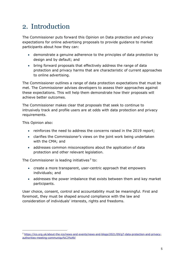# <span id="page-4-0"></span>2. Introduction

The Commissioner puts forward this Opinion on Data protection and privacy expectations for online advertising proposals to provide guidance to market participants about how they can:

- demonstrate a genuine adherence to the principles of data protection by design and by default; and
- bring forward proposals that effectively address the range of data protection and privacy harms that are characteristic of current approaches to online advertising.

The Commissioner outlines a range of data protection expectations that must be met. The Commissioner advises developers to assess their approaches against these expectations. This will help them demonstrate how their proposals will achieve better outcomes.

The Commissioner makes clear that proposals that seek to continue to intrusively track and profile users are at odds with data protection and privacy requirements.

This Opinion also:

- reinforces the need to address the concerns raised in the 2019 report;
- clarifies the Commissioner's views on the joint work being undertaken with the CMA; and
- addresses common misconceptions about the application of data protection and other relevant legislation.

The Commissioner is leading initiatives $3$  to:

- create a more transparent, user-centric approach that empowers individuals; and
- addresses the power imbalance that exists between them and key market participants.

User choice, consent, control and accountability must be meaningful. First and foremost, they must be shaped around compliance with the law and consideration of individuals' interests, rights and freedoms.

<span id="page-4-1"></span><sup>3</sup> [https://ico.org.uk/about-the-ico/news-and-events/news-and-blogs/2021/09/g7-data-protection-and-privacy](https://ico.org.uk/about-the-ico/news-and-events/news-and-blogs/2021/09/g7-data-protection-and-privacy-authorities-meeting-communiqu%C3%A9/)[authorities-meeting-communiqu%C3%A9/](https://ico.org.uk/about-the-ico/news-and-events/news-and-blogs/2021/09/g7-data-protection-and-privacy-authorities-meeting-communiqu%C3%A9/)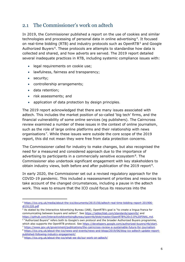### <span id="page-5-0"></span>2.1 The Commissioner's work on adtech

In 2019, the Commissioner published a report on the use of cookies and similar technologies and processing of personal data in online advertising<sup>4</sup>. It focused on real-time bidding (RTB) and industry protocols such as OpenRTB<sup>[5](#page-5-2)</sup> and Google Authorized Buyers<sup>[6](#page-5-3)</sup>. These protocols are attempts to standardise how data is collected and shared, and how adverts are served. The 2019 report detailed several inadequate practices in RTB, including systemic compliance issues with:

- legal requirements on cookie use;
- lawfulness, fairness and transparency;
- security;
- controllership arrangements;
- data retention;
- risk assessments; and
- application of data protection by design principles.

The 2019 report acknowledged that there are many issues associated with adtech. This includes the market position of so-called 'big tech' firms, and the financial vulnerability of some online services (eg publishers). The Cairncross review examined a number of these issues in the context of online journalism, such as the role of large online platforms and their relationship with news organisations<sup>7</sup>. While these issues were outside the core scope of the 2019 report, this did not mean they were free from data protection concerns.

The Commissioner called for industry to make changes, but also recognised the need for a measured and considered approach due to the importance of advertising to participants in a commercially sensitive ecosystem $8$ . The Commissioner also undertook significant engagement with key stakeholders to obtain industry views, both before and after publication of the 2019 report<sup>9</sup>.

In early 2020, the Commissioner set out a revised regulatory approach for the COVID-19 pandemic. This included a reassessment of priorities and resources to take account of the changed circumstances, including a pause in the adtech work. This was to ensure that the ICO could focus its resources into the

<span id="page-5-1"></span><sup>4</sup> [https://ico.org.uk/media/about-the-ico/documents/2615156/adtech-real-time-bidding-report-201906](https://ico.org.uk/media/about-the-ico/documents/2615156/adtech-real-time-bidding-report-201906-dl191220.pdf) [dl191220.pdf](https://ico.org.uk/media/about-the-ico/documents/2615156/adtech-real-time-bidding-report-201906-dl191220.pdf)

<span id="page-5-2"></span><sup>5</sup> As stated by the Interactive Advertising Bureau (IAB), OpenRTB's goal is "to create a lingua franca for communicating between buyers and sellers". See<https://iabtechlab.com/standards/openrtb/> and [https://github.com/InteractiveAdvertisingBureau/openrtb/blob/master/OpenRTB%20v3.0%20FINAL.md.](https://github.com/InteractiveAdvertisingBureau/openrtb/blob/master/OpenRTB%20v3.0%20FINAL.md)

<span id="page-5-3"></span><sup>6</sup> "Authorized Buyers" refers both to Google's own protocol and the broader Authorized Buyers programme, which also supports the OpenRTB protocol. See [https://developers.google.com/authorized-buyers/rtb/start.](https://developers.google.com/authorized-buyers/rtb/start)

<span id="page-5-4"></span><sup>7</sup> <https://www.gov.uk/government/publications/the-cairncross-review-a-sustainable-future-for-journalism>

<span id="page-5-5"></span><sup>8</sup> [https://ico.org.uk/about-the-ico/news-and-events/news-and-blogs/2019/06/blog-ico-adtech-update-report](https://ico.org.uk/about-the-ico/news-and-events/news-and-blogs/2019/06/blog-ico-adtech-update-report-published-following-industry-engagement/)[published-following-industry-engagement/](https://ico.org.uk/about-the-ico/news-and-events/news-and-blogs/2019/06/blog-ico-adtech-update-report-published-following-industry-engagement/)

<span id="page-5-6"></span><sup>9</sup> <https://ico.org.uk/about-the-ico/what-we-do/our-work-on-adtech/>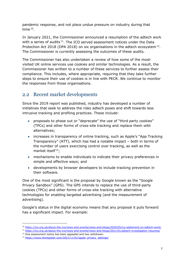pandemic response, and not place undue pressure on industry during that time<sup>[10](#page-6-1)</sup>.

In January 2021, the Commissioner announced a resumption of the adtech work with a series of audits<sup>[11](#page-6-2)</sup>. The ICO served assessment notices under the Data Protection Act 2018 (DPA 2018) on six organisations in the adtech ecosystem<sup>12</sup>. The Commissioner is currently assessing the outcomes of these audits.

The Commissioner has also undertaken a review of how some of the mostvisited UK online services use cookies and similar technologies. As a result, the Commissioner has written to a number of these services to further assess their compliance. This includes, where appropriate, requiring that they take further steps to ensure their use of cookies is in line with PECR. We continue to monitor the responses from those organisations.

### <span id="page-6-0"></span>2.2 Recent market developments

Since the 2019 report was published, industry has developed a number of initiatives that seek to address the risks adtech poses and shift towards less intrusive tracking and profiling practices. These include:

- proposals to phase out or "deprecate" the use of "third party cookies" (TPCs) and other forms of cross-site tracking and replace them with alternatives;
- increases in transparency of online tracking, such as Apple's "App Tracking Transparency" (ATT), which has had a notable impact – both in terms of the number of users exercising control over tracking, as well as the market itself $^{13}$ ;
- mechanisms to enable individuals to indicate their privacy preferences in simple and effective ways; and
- developments by browser developers to include tracking prevention in their software.

One of the most significant is the proposal by Google known as the "Google Privacy Sandbox" (GPS). The GPS intends to replace the use of third-party cookies (TPCs) and other forms of cross-site tracking with alternative technologies for enabling targeted advertising (and the measurement of advertising).

Google's status in the digital economy means that any proposal it puts forward has a significant impact. For example:

<span id="page-6-1"></span><sup>10</sup> <https://ico.org.uk/about-the-ico/news-and-events/news-and-blogs/2020/05/ico-statement-on-adtech-work/>

<span id="page-6-2"></span><sup>11</sup> <https://ico.org.uk/about-the-ico/news-and-events/news-and-blogs/2021/01/adtech-investigation-resumes/>

<span id="page-6-3"></span><sup>&</sup>lt;sup>12</sup> One assessment notice has been appealed and two withdrawn.

<span id="page-6-4"></span><sup>13</sup> [https://www.theregister.com/2021/11/01/apple\\_privacy\\_settings/](https://www.theregister.com/2021/11/01/apple_privacy_settings/)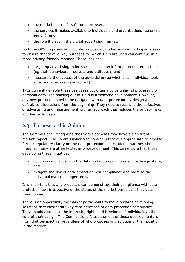- the market share of its Chrome browser;
- the services it makes available to individuals and organisations (eg online search); and
- the role it plays in the digital advertising market.

Both the GPS proposals and counterproposals by other market participants seek to ensure that several key purposes for which TPCs are used can continue in a more privacy-friendly manner. These include:

- targeting advertising to individuals based on information related to them (eg their behaviours, interests and attitudes); and
- measuring the success of the advertising (eg whether an individual took an action after seeing an advert).

TPCs currently enable these use cases but often involve unlawful processing of personal data. The phasing out of TPCs is a welcome development. However, any new proposals need to be designed with data protection by design and default considerations from the beginning. They need to reconcile the objectives of advertising and measurement with an approach that reduces the privacy risks and harms to users.

## <span id="page-7-0"></span>2.3 Purpose of this Opinion

The Commissioner recognises these developments may have a significant market impact. The Commissioner also considers that it is appropriate to provide further regulatory clarity on the data protection expectations that they should meet, as many are at early stages of development. This can ensure that those developing these initiatives:

- build in compliance with the data protection principles at the design stage; and
- mitigate the risk of data protection non-compliance and harm to the individual over the longer term.

It is important that any proposals can demonstrate their compliance with data protection law, irrespective of the status of the market participant that puts them forward.

There is an opportunity for market participants to move towards developing solutions that incorporate key considerations of data protection compliance. They should also place the interests, rights and freedoms of individuals at the core of their design. The Commissioner's assessment of these developments is from that perspective, regardless of who proposes any solution or their position in the market.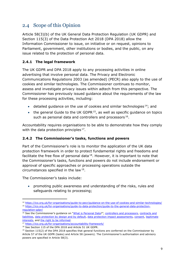## <span id="page-8-0"></span>2.4 Scope of this Opinion

Article 58(3)(b) of the UK General Data Protection Regulation (UK GDPR) and Section 115(3) of the Data Protection Act 2018 (DPA 2018) allow the Information Commissioner to issue, on initiative or on request, opinions to Parliament, government, other institutions or bodies, and the public, on any issue related to the protection of personal data.

### **2.4.1 The legal framework**

The UK GDPR and DPA 2018 apply to any processing activities in online advertising that involve personal data. The Privacy and Electronic Communications Regulations 2003 (as amended) (PECR) also apply to the use of cookies and similar technologies. The Commissioner continues to monitor, assess and investigate privacy issues within adtech from this perspective. The Commissioner has previously issued guidance about the requirements of the law for these processing activities, including:

- detailed guidance on the use of cookies and similar technologies<sup>14</sup>; and
- the general Guide to the UK GDPR $15$ , as well as specific guidance on topics such as personal data and controllers and processors<sup>[16](#page-8-3)</sup>.

Accountability requires organisations to be able to demonstrate how they comply with the data protection principles  $17$ .

### **2.4.2 The Commissioner's tasks, functions and powers**

Part of the Commissioner's role is to monitor the application of the UK data protection framework in order to protect fundamental rights and freedoms and facilitate the free flow of personal data  $18$ . However, it is important to note that the Commissioner's tasks, functions and powers do not include endorsement or approval of specific approaches or processing operations outside the circumstances specified in the law [19](#page-8-6).

The Commissioner's tasks include:

• promoting public awareness and understanding of the risks, rules and safeguards relating to processing;

<span id="page-8-2"></span><span id="page-8-1"></span><sup>14</sup> <https://ico.org.uk/for-organisations/guide-to-pecr/guidance-on-the-use-of-cookies-and-similar-technologies/> <sup>15</sup> [https://ico.org.uk/for-organisations/guide-to-data-protection/guide-to-the-general-data-protection](https://ico.org.uk/for-organisations/guide-to-data-protection/guide-to-the-general-data-protection-regulation-gdpr/)[regulation-gdpr/](https://ico.org.uk/for-organisations/guide-to-data-protection/guide-to-the-general-data-protection-regulation-gdpr/)

<span id="page-8-3"></span><sup>&</sup>lt;sup>16</sup> See the Commissioner's guidance on ["What is Personal Data?](https://ico.org.uk/for-organisations/guide-to-data-protection/guide-to-the-general-data-protection-regulation-gdpr/what-is-personal-data/what-are-identifiers-and-related-factors/)", [controllers and processors,](https://ico.org.uk/for-organisations/guide-to-data-protection/guide-to-the-general-data-protection-regulation-gdpr/controllers-and-processors/) contracts and [liabilities,](https://ico.org.uk/for-organisations/guide-to-data-protection/guide-to-the-general-data-protection-regulation-gdpr/contracts-and-liabilities-between-controllers-and-processors-multi/) data protection [by design and by default,](https://ico.org.uk/for-organisations/guide-to-data-protection/guide-to-the-general-data-protection-regulation-gdpr/accountability-and-governance/data-protection-by-design-and-default/) data protection [impact assessments,](https://ico.org.uk/for-organisations/guide-to-data-protection/guide-to-the-general-data-protection-regulation-gdpr/data-protection-impact-assessments-dpias/) [consent,](https://ico.org.uk/for-organisations/guide-to-data-protection/guide-to-the-general-data-protection-regulation-gdpr/consent/) [legitimate](https://ico.org.uk/for-organisations/guide-to-data-protection/guide-to-the-general-data-protection-regulation-gdpr/legitimate-interests/)  [interests,](https://ico.org.uk/for-organisations/guide-to-data-protection/guide-to-the-general-data-protection-regulation-gdpr/legitimate-interests/) and [the right to be informed.](https://ico.org.uk/for-organisations/guide-to-data-protection/guide-to-the-general-data-protection-regulation-gdpr/the-right-to-be-informed/)

<span id="page-8-4"></span><sup>17</sup> <https://ico.org.uk/for-organisations/accountability-framework/>

<span id="page-8-5"></span><sup>18</sup> See Section 115 of the DPA 2018 and Article 51 UK GDPR.

<span id="page-8-6"></span> $19$  Section 115(2) of the DPA 2018 specifies that general functions are conferred on the Commissioner by Article 57 of the UK GDPR (tasks) and Article 58 (powers). The Commissioner's authorisation and advisory powers are specified in Article 58(3).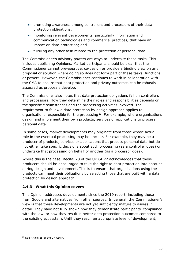- promoting awareness among controllers and processors of their data protection obligations;
- monitoring relevant developments, particularly information and communication technologies and commercial practices, that have an impact on data protection; and
- fulfilling any other task related to the protection of personal data.

The Commissioner's advisory powers are ways to undertake these tasks. This includes publishing Opinions. Market participants should be clear that the Commissioner cannot pre-approve, co-design or provide a binding view on any proposal or solution where doing so does not form part of these tasks, functions or powers. However, the Commissioner continues to work in collaboration with the CMA to ensure that data protection and privacy outcomes can be robustly assessed as proposals develop.

The Commissioner also notes that data protection obligations fall on controllers and processors. How they determine their roles and responsibilities depends on the specific circumstances and the processing activities involved. The requirement to follow a data protection by design approach applies to organisations responsible for the processing  $20$ . For example, where organisations design and implement their own products, services or applications to process personal data.

In some cases, market developments may originate from those whose actual role in the eventual processing may be unclear. For example, they may be a producer of products, services or applications that process personal data but do not either take specific decisions about such processing (as a controller does) or undertake that processing on behalf of another (as a processor does).

Where this is the case, Recital 78 of the UK GDPR acknowledges that these producers should be encouraged to take the right to data protection into account during design and development. This is to ensure that organisations using the products can meet their obligations by selecting those that are built with a data protection by design approach.

### **2.4.3 What this Opinion covers**

This Opinion addresses developments since the 2019 report, including those from Google and alternatives from other sources. In general, the Commissioner's view is that these developments are not yet sufficiently mature to assess in detail. They have not fully shown how they demonstrate participants' compliance with the law, or how they result in better data protection outcomes compared to the existing ecosystem. Until they reach an appropriate level of development,

<span id="page-9-0"></span><sup>20</sup> See Article 25 of the UK GDPR.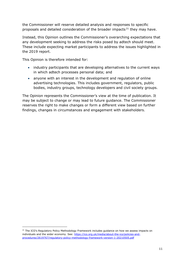the Commissioner will reserve detailed analysis and responses to specific proposals and detailed consideration of the broader impacts<sup>[21](#page-10-0)</sup> they may have.

Instead, this Opinion outlines the Commissioner's overarching expectations that any development seeking to address the risks posed by adtech should meet. These include expecting market participants to address the issues highlighted in the 2019 report.

This Opinion is therefore intended for:

- industry participants that are developing alternatives to the current ways in which adtech processes personal data; and
- anyone with an interest in the development and regulation of online advertising technologies. This includes government, regulators, public bodies, industry groups, technology developers and civil society groups.

The Opinion represents the Commissioner's view at the time of publication. It may be subject to change or may lead to future guidance. The Commissioner reserves the right to make changes or form a different view based on further findings, changes in circumstances and engagement with stakeholders.

<span id="page-10-0"></span><sup>&</sup>lt;sup>21</sup> The ICO's Regulatory Policy Methodology Framework includes guidance on how we assess impacts on individuals and the wider economy. See: [https://ico.org.uk/media/about-the-ico/policies-and](https://ico.org.uk/media/about-the-ico/policies-and-procedures/2619767/regulatory-policy-methodology-framework-version-1-20210505.pdf)[procedures/2619767/regulatory-policy-methodology-framework-version-1-20210505.pdf](https://ico.org.uk/media/about-the-ico/policies-and-procedures/2619767/regulatory-policy-methodology-framework-version-1-20210505.pdf)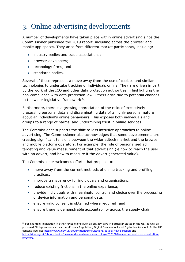# <span id="page-11-0"></span>3. Online advertising developments

A number of developments have taken place within online advertising since the Commissioner published the 2019 report, including across the browser and mobile app spaces. They arise from different market participants, including:

- industry bodies and trade associations;
- browser developers;
- technology firms; and
- standards bodies.

Several of these represent a move away from the use of cookies and similar technologies to undertake tracking of individuals online. They are driven in part by the work of the ICO and other data protection authorities in highlighting the non-compliance with data protection law. Others arise due to potential changes to the wider legislative framework<sup>[22](#page-11-1)</sup>.

Furthermore, there is a growing appreciation of the risks of excessively processing personal data and disseminating data of a highly personal nature about an individual's online behaviours. This exposes both individuals and groups to a range of harms, and undermining trust in online services.

The Commissioner supports the shift to less intrusive approaches to online advertising. The Commissioner also acknowledges that some developments are creating significant tensions between the wider adtech market and the browser and mobile platform operators. For example, the role of personalised ad targeting and value measurement of that advertising (ie how to reach the user with an advert, and how to measure if the advert generated value).

The Commissioner welcomes efforts that propose to:

- move away from the current methods of online tracking and profiling practices;
- improve transparency for individuals and organisations;
- reduce existing frictions in the online experience;
- provide individuals with meaningful control and choice over the processing of device information and personal data;
- ensure valid consent is obtained where required; and
- ensure there is demonstrable accountability across the supply chain.

<span id="page-11-1"></span> $22$  For example, legislation in other jurisdictions such as privacy laws in particular states in the US, as well as proposed EU legislation such as the ePrivacy Regulation, Digital Services Act and Digital Markets Act. In the UK context, see also<https://www.gov.uk/government/consultations/data-a-new-direction> and [https://ico.org.uk/about-the-ico/news-and-events/news-and-blogs/2021/10/response-to-dcms-consultation](https://ico.org.uk/about-the-ico/news-and-events/news-and-blogs/2021/10/response-to-dcms-consultation-foreword/)[foreword/.](https://ico.org.uk/about-the-ico/news-and-events/news-and-blogs/2021/10/response-to-dcms-consultation-foreword/)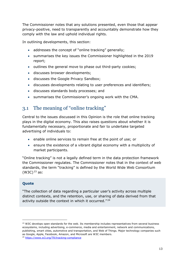The Commissioner notes that any solutions presented, even those that appear privacy-positive, need to transparently and accountably demonstrate how they comply with the law and uphold individual rights.

In outlining developments, this section:

- addresses the concept of "online tracking" generally;
- summarises the key issues the Commissioner highlighted in the 2019 report;
- outlines the general move to phase out third-party cookies;
- discusses browser developments;
- discusses the Google Privacy Sandbox;
- discusses developments relating to user preferences and identifiers;
- discusses standards body processes; and
- summarises the Commissioner's ongoing work with the CMA.

### <span id="page-12-0"></span>3.1 The meaning of "online tracking"

Central to the issues discussed in this Opinion is the role that online tracking plays in the digital economy. This also raises questions about whether it is fundamentally necessary, proportionate and fair to undertake targeted advertising of individuals to:

- enable online services to remain free at the point of use; or
- ensure the existence of a vibrant digital economy with a multiplicity of market participants.

"Online tracking" is not a legally defined term in the data protection framework the Commissioner regulates. The Commissioner notes that in the context of web standards, the term "tracking" is defined by the World Wide Web Consortium  $(W3C)^{23}$  $(W3C)^{23}$  $(W3C)^{23}$  as:

### **Quote**

"The collection of data regarding a particular user's activity across multiple distinct contexts, and the retention, use, or sharing of data derived from that activity outside the context in which it occurred."<sup>[24](#page-12-2)</sup>

<span id="page-12-1"></span><sup>&</sup>lt;sup>23</sup> W3C develops open standards for the web. Its membership includes representatives from several business ecosystems, including advertising, e-commerce, media and entertainment, network and communications, publishing, smart cities, automotive and transportation, and Web of Things. Major technology companies such as Google, Apple, Facebook, Amazon, and Microsoft are W3C members.

<span id="page-12-2"></span><sup>24</sup> <https://www.w3.org/TR/tracking-compliance>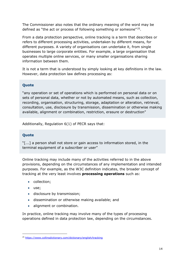The Commissioner also notes that the ordinary meaning of the word may be defined as "the act or process of following something or someone"<sup>25</sup>.

From a data protection perspective, online tracking is a term that describes or refers to different processing activities, undertaken by different means, for different purposes. A variety of organisations can undertake it, from single businesses to large corporate entities. For example, a large organisation that operates multiple online services, or many smaller organisations sharing information between them.

It is not a term that is understood by simply looking at key definitions in the law. However, data protection law defines processing as:

### **Quote**

"any operation or set of operations which is performed on personal data or on sets of personal data, whether or not by automated means, such as collection, recording, organisation, structuring, storage, adaptation or alteration, retrieval, consultation, use, disclosure by transmission, dissemination or otherwise making available, alignment or combination, restriction, erasure or destruction"

Additionally, Regulation 6(1) of PECR says that:

### **Quote**

"[...] a person shall not store or gain access to information stored, in the terminal equipment of a subscriber or user"

Online tracking may include many of the activities referred to in the above provisions, depending on the circumstances of any implementation and intended purposes. For example, as the W3C definition indicates, the broader concept of tracking at the very least involves **processing operations** such as:

- collection;
- use;
- disclosure by transmission;
- dissemination or otherwise making available; and
- alignment or combination.

In practice, online tracking may involve many of the types of processing operations defined in data protection law, depending on the circumstances.

<span id="page-13-0"></span><sup>25</sup> <https://www.collinsdictionary.com/dictionary/english/tracking>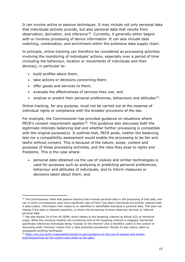It can involve active or passive techniques. It may include not only personal data that individuals actively provide, but also personal data that results from observation, derivation, and inference<sup>[26](#page-14-0)</sup>. Currently, it generally either begins with or involves processing of device information. It can also include data matching, combination, and enrichment within the extensive data supply chain.

In principle, online tracking can therefore be considered as processing activities involving the monitoring of individuals' actions, especially over a period of time (including the behaviour, location or movements of individuals and their devices), in particular to:

- build profiles about them;
- take actions or decisions concerning them;
- offer goods and services to them;
- evaluate the effectiveness of services they use; and
- analyse or predict their personal preferences, behaviours and attitudes  $27$ .

Online tracking, for any purpose, must not be carried out at the expense of individual rights or compliance with the broader provisions of the law.

For example, the Commissioner has provided guidance on situations where PECR's consent requirement applies<sup>[28](#page-14-2)</sup>. This guidance also discusses both the legitimate interests balancing test and whether further processing is compatible with the original purpose(s). It outlines that, PECR aside, neither the balancing test nor a compatibility assessment would enable the processing to be fair and lawful without consent. This is because of the nature, scope, context and purposes of these processing activities, and the risks they pose to rights and freedoms. This is the case where:

• personal data obtained via the use of cookies and similar technologies is used for purposes such as analysing or predicting personal preferences, behaviour and attitudes of individuals, and to inform measures or decisions taken about them; and

<span id="page-14-0"></span><sup>&</sup>lt;sup>26</sup> The Commissioner notes that passive tracking that involves personal data is still processing of that data, and can in some circumstances raise more significant risks of harm (eg where individuals are entirely unaware that it takes place). Information that relates to an identified or identifiable individual is personal data. This does not change if the data is collected passively, or where the processing involves observed, derived, or inferred personal data.

<span id="page-14-1"></span> $27$  See also Recital 24 of the UK GDPR, which relates to the targeting criterion at Article 3(2) on territorial scope. While this concerns whether the monitoring limb of the targeting criterion is engaged, the Recital specifically references individuals being "tracked on the internet" and is therefore useful in the context of discussing what "tracking" means from a data protection perspective. Recital 24 also clearly refers to subsequent profiling techniques.

<span id="page-14-2"></span><sup>&</sup>lt;sup>28</sup> [https://ico.org.uk/for-organisations/guide-to-pecr/guidance-on-the-use-of-cookies-and-similar](https://ico.org.uk/for-organisations/guide-to-pecr/guidance-on-the-use-of-cookies-and-similar-technologies/how-do-the-cookie-rules-relate-to-the-gdpr/)[technologies/how-do-the-cookie-rules-relate-to-the-gdpr/](https://ico.org.uk/for-organisations/guide-to-pecr/guidance-on-the-use-of-cookies-and-similar-technologies/how-do-the-cookie-rules-relate-to-the-gdpr/)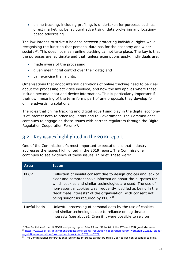• online tracking, including profiling, is undertaken for purposes such as direct marketing, behavioural advertising, data brokering and locationbased advertising.

The law intends to strike a balance between protecting individual rights while recognising the function that personal data has for the economy and wider society<sup>29</sup>. This does not mean online tracking cannot take place. The key is that the purposes are legitimate and that, unless exemptions apply, individuals are:

- made aware of the processing;
- given meaningful control over their data; and
- can exercise their rights.

Organisations that adopt internal definitions of online tracking need to be clear about the processing activities involved, and how the law applies where these include personal data and device information. This is particularly important if their own meaning of the term forms part of any proposals they develop for online advertising solutions.

The roles that online tracking and digital advertising play in the digital economy is of interest both to other regulators and to Government. The Commissioner continues to engage on these issues with partner regulators through the Digital Regulation Cooperation Forum[30.](#page-15-2)

## <span id="page-15-0"></span>3.2 Key issues highlighted in the 2019 report

One of the Commissioner's most important expectations is that industry addresses the issues highlighted in the 2019 report. The Commissioner continues to see evidence of these issues. In brief, these were:

| <b>Area</b>  | <b>Issue</b>                                                                                                                                                                                                                                                                                                                                                                       |
|--------------|------------------------------------------------------------------------------------------------------------------------------------------------------------------------------------------------------------------------------------------------------------------------------------------------------------------------------------------------------------------------------------|
| <b>PECR</b>  | Collection of invalid consent due to design choices and lack of<br>clear and comprehensive information about the purposes for<br>which cookies and similar technologies are used. The use of<br>non-essential cookies was frequently justified as being in the<br>"legitimate interests" of the organisation, with consent not<br>being sought as required by PECR <sup>31</sup> . |
| Lawful basis | Unlawful processing of personal data by the use of cookies<br>and similar technologies due to reliance on legitimate<br>interests (see above). Even if it were possible to rely on                                                                                                                                                                                                 |

<span id="page-15-2"></span><span id="page-15-1"></span> $^{29}$  See Recital 4 of the UK GDPR and paragraphs 16 to 19 and 37 to 46 of the ICO and CMA joint statement. <sup>30</sup> [https://www.gov.uk/government/publications/digital-regulation-cooperation-forum-workplan-202122/digital](https://www.gov.uk/government/publications/digital-regulation-cooperation-forum-workplan-202122/digital-regulation-cooperation-forum-plan-of-work-for-2021-to-2022)[regulation-cooperation-forum-plan-of-work-for-2021-to-2022](https://www.gov.uk/government/publications/digital-regulation-cooperation-forum-workplan-202122/digital-regulation-cooperation-forum-plan-of-work-for-2021-to-2022)

<span id="page-15-3"></span><sup>&</sup>lt;sup>31</sup> The Commissioner reiterates that legitimate interests cannot be relied upon to set non-essential cookies.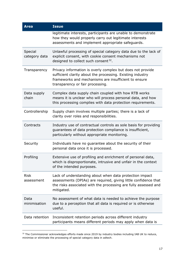| <b>Area</b>               | <b>Issue</b>                                                                                                                                                                                                         |
|---------------------------|----------------------------------------------------------------------------------------------------------------------------------------------------------------------------------------------------------------------|
|                           | legitimate interests, participants are unable to demonstrate<br>how they would properly carry out legitimate interests<br>assessments and implement appropriate safeguards.                                          |
| Special<br>category data  | Unlawful processing of special category data due to the lack of<br>explicit consent, with cookie consent mechanisms not<br>designed to collect such consent <sup>32</sup> .                                          |
| Transparency              | Privacy information is overly complex but does not provide<br>sufficient clarity about the processing. Existing industry<br>frameworks and mechanisms are insufficient to ensure<br>transparency or fair processing. |
| Data supply<br>chain      | Complex data supply chain coupled with how RTB works<br>means it is unclear who will process personal data, and how<br>this processing complies with data protection requirements.                                   |
| Controllership            | Supply chain involves multiple parties; there is a lack of<br>clarity over roles and responsibilities.                                                                                                               |
| Contracts                 | Industry use of contractual controls as sole basis for providing<br>guarantees of data protection compliance is insufficient,<br>particularly without appropriate monitoring.                                        |
| Security                  | Individuals have no guarantee about the security of their<br>personal data once it is processed.                                                                                                                     |
| Profiling                 | Extensive use of profiling and enrichment of personal data,<br>which is disproportionate, intrusive and unfair in the context<br>of the intended purposes.                                                           |
| <b>Risk</b><br>assessment | Lack of understanding about when data protection impact<br>assessments (DPIAs) are required, giving little confidence that<br>the risks associated with the processing are fully assessed and<br>mitigated.          |
| Data<br>minimisation      | No assessment of what data is needed to achieve the purpose<br>due to a perception that all data is required or is otherwise<br>useful.                                                                              |
| Data retention            | Inconsistent retention periods across different industry<br>participants means different periods may apply when data is                                                                                              |

<span id="page-16-0"></span><sup>&</sup>lt;sup>32</sup> The Commissioner acknowledges efforts made since 2019 by industry bodies including IAB UK to reduce, minimise or eliminate the processing of special category data in adtech.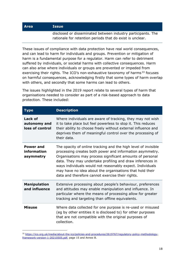#### **Area Issue**

disclosed or disseminated between industry participants. The rationale for retention periods that do exist is unclear.

These issues of compliance with data protection have real world consequences, and can lead to harm for individuals and groups. Prevention or mitigation of harm is a fundamental purpose for a regulator. Harm can refer to detriment suffered by individuals, or societal harms with collective consequences. Harm can also arise where individuals or groups are prevented or impeded from exercising their rights. The ICO's non-exhaustive taxonomy of harms<sup>[33](#page-17-0)</sup> focuses on harmful consequences, acknowledging firstly that some types of harm overlap with others, and secondly that some harms can lead to others.

The issues highlighted in the 2019 report relate to several types of harm that organisations needed to consider as part of a risk-based approach to data protection. These included:

| <b>Type</b>                                  | <b>Description</b>                                                                                                                                                                                                                                                                                                                                                                                                                |
|----------------------------------------------|-----------------------------------------------------------------------------------------------------------------------------------------------------------------------------------------------------------------------------------------------------------------------------------------------------------------------------------------------------------------------------------------------------------------------------------|
| Lack of<br>autonomy and<br>loss of control   | Where individuals are aware of tracking, they may not wish<br>it to take place but feel powerless to stop it. This reduces<br>their ability to choose freely without external influence and<br>deprives them of meaningful control over the processing of<br>their data.                                                                                                                                                          |
| <b>Power and</b><br>information<br>asymmetry | The opacity of online tracking and the high level of invisible<br>processing creates both power and information asymmetry.<br>Organisations may process significant amounts of personal<br>data. They may undertake profiling and draw inferences in<br>ways individuals would not reasonably expect. Individuals<br>may have no idea about the organisations that hold their<br>data and therefore cannot exercise their rights. |
| <b>Manipulation</b><br>and influence         | Extensive processing about people's behaviour, preferences<br>and attitudes may enable manipulation and influence. In<br>particular where the means of processing allow for greater<br>tracking and targeting than offline equivalents.                                                                                                                                                                                           |
| <b>Misuse</b>                                | Where data collected for one purpose is re-used or misused<br>(eg by other entities it is disclosed to) for other purposes<br>that are not compatible with the original purposes of<br>collection.                                                                                                                                                                                                                                |

<span id="page-17-0"></span><sup>33</sup> [https://ico.org.uk/media/about-the-ico/policies-and-procedures/2619767/regulatory-policy-methodology](https://ico.org.uk/media/about-the-ico/policies-and-procedures/2619767/regulatory-policy-methodology-framework-version-1-20210505.pdf)[framework-version-1-20210505.pdf,](https://ico.org.uk/media/about-the-ico/policies-and-procedures/2619767/regulatory-policy-methodology-framework-version-1-20210505.pdf) page 15 and Annex B.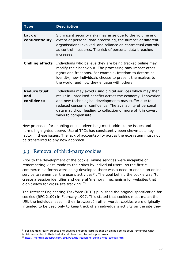| Tvpe                                     | <b>Description</b>                                                                                                                                                                                                                                                                                                                      |
|------------------------------------------|-----------------------------------------------------------------------------------------------------------------------------------------------------------------------------------------------------------------------------------------------------------------------------------------------------------------------------------------|
| Lack of<br>confidentiality               | Significant security risks may arise due to the volume and<br>extent of personal data processing, the number of different<br>organisations involved, and reliance on contractual controls<br>as control measures. The risk of personal data breaches<br>increases.                                                                      |
| <b>Chilling effects</b>                  | Individuals who believe they are being tracked online may<br>modify their behaviour. The processing may impact other<br>rights and freedoms. For example, freedom to determine<br>identity, how individuals choose to present themselves to<br>the world, and how they engage with others.                                              |
| <b>Reduce trust</b><br>and<br>confidence | Individuals may avoid using digital services which may then<br>result in unrealised benefits across the economy. Innovation<br>and new technological developments may suffer due to<br>reduced consumer confidence. The availability of personal<br>data may drop, leading to collection of more of it in covert<br>ways to compensate. |

New proposals for enabling online advertising must address the issues and harms highlighted above. Use of TPCs has consistently been shown as a key factor in these issues. The lack of accountability across the ecosystem must not be transferred to any new approach.

## <span id="page-18-0"></span>3.3 Removal of third-party cookies

Prior to the development of the cookie, online services were incapable of remembering visits made to their sites by individual users. As the first ecommerce platforms were being developed there was a need to enable an online service to remember the user's activities<sup>[34](#page-18-1)</sup>. The goal behind the cookie was "to create a session identifier and general 'memory' mechanism for websites that didn't allow for cross-site tracking" [35](#page-18-2).

The Internet Engineering Taskforce (IETF) published the original specification for cookies (RFC 2109) in February 1997. This stated that cookies must match the URL the individual sees in their browser. In other words, cookies were originally intended to be used only to keep track of an individual's activity on the site they

<span id="page-18-1"></span><sup>&</sup>lt;sup>34</sup> For example, early proposals to develop shopping carts so that an online service could remember what individuals added to their basket and allow them to make purchases.

<span id="page-18-2"></span><sup>35</sup> <http://montulli.blogspot.com/2013/05/the-reasoning-behind-web-cookies.html>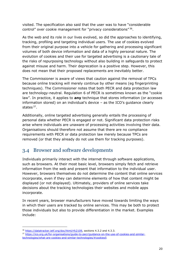visited. The specification also said that the user was to have "considerable control" over cookie management for "privacy considerations" [36.](#page-19-1)

As the web and its role in our lives evolved, so did the approaches to identifying, tracking, profiling and targeting individual users. The use of cookies evolved from their original purpose into a vehicle for gathering and processing significant volumes of both device information and data of a highly personal nature. The evolution of cookies and their use for targeted advertising is a cautionary tale of the risks of repurposing technology without also building in safeguards to protect against misuse and harm. Their deprecation is a positive step. However, this does not mean that their proposed replacements are inevitably better.

The Commissioner is aware of views that caution against the removal of TPCs because online tracking will merely continue by other means (eg fingerprinting techniques). The Commissioner notes that both PECR and data protection law are technology-neutral. Regulation 6 of PECR is sometimes known as the "cookie law". In practice, it applies to **any** technique that stores information (or accesses information stored) on an individual's device – as the ICO's guidance clearly states<sup>37</sup>.

Additionally, online targeted advertising generally entails the processing of personal data whether PECR is engaged or not. Significant data protection risks arise where individuals are unaware of processing activities involving their data. Organisations should therefore not assume that there are no compliance requirements with PECR or data protection law merely because TPCs are removed (or that they already do not use them for tracking purposes).

### <span id="page-19-0"></span>3.4 Browser and software developments

Individuals primarily interact with the internet through software applications, such as browsers. At their most basic level, browsers simply fetch and retrieve information from the web and present that information to the individual user. However, browsers themselves do not determine the content that online services incorporate, even if they can determine elements of how that content might be displayed (or not displayed). Ultimately, providers of online services take decisions about the tracking technologies their websites and mobile apps incorporate.

In recent years, browser manufacturers have moved towards limiting the ways in which their users are tracked by online services. This may be both to protect those individuals but also to provide differentiation in the market. Examples include:

<sup>&</sup>lt;sup>36</sup> [https://datatracker.ietf.org/doc/html/rfc2109,](https://datatracker.ietf.org/doc/html/rfc2109) sections 4.3.2 and 4.3.3.

<span id="page-19-2"></span><span id="page-19-1"></span><sup>37</sup> [https://ico.org.uk/for-organisations/guide-to-pecr/guidance-on-the-use-of-cookies-and-similar](https://ico.org.uk/for-organisations/guide-to-pecr/guidance-on-the-use-of-cookies-and-similar-technologies/what-are-cookies-and-similar-technologies/#cookies5)[technologies/what-are-cookies-and-similar-technologies/#cookies5](https://ico.org.uk/for-organisations/guide-to-pecr/guidance-on-the-use-of-cookies-and-similar-technologies/what-are-cookies-and-similar-technologies/#cookies5)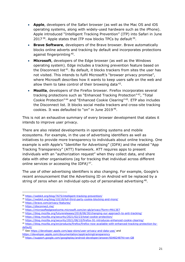- **Apple**, developers of the Safari browser (as well as the Mac OS and iOS operating systems, along with widely-used hardware such as the iPhone). Apple introduced "Intelligent Tracking Prevention" (ITP) into Safari in June 2017 $38$ . Apple states that ITP now blocks TPCs by default  $39$ .
- **Brave Software**, developers of the Brave browser. Brave automatically blocks online adverts and tracking by default and incorporates protections against fingerprinting [40.](#page-20-2)
- **Microsoft**, developers of the Edge browser (as well as the Windows operating system). Edge includes a tracking prevention feature based on the Disconnect list<sup>41</sup>. By default, it blocks trackers from sites the user has not visited. This intends to fulfil Microsoft's "browser privacy promise", where Microsoft describes how it wants to keep users safe on the web and allow them to take control of their browsing data  $42$ .
- **Mozilla**, developers of the Firefox browser. Firefox incorporates several tracking protections such as "Enhanced Tracking Protection"<sup>43</sup>, "Total Cookie Protection" [44](#page-20-6) and "Enhanced Cookie Clearing" [45](#page-20-7). ETP also includes the Disconnect list. It blocks social media trackers and cross-site tracking cookies. It was defaulted to "on" in June  $2019^{46}$  $2019^{46}$  $2019^{46}$ .

This is not an exhaustive summary of every browser development that states it intends to improve user privacy.

There are also related developments in operating systems and mobile ecosystems. For example, in the use of advertising identifiers as well as initiatives to provide more transparency to individuals about online tracking. One example is with Apple's "Identifier for Advertising" (IDFA) and the related "App Tracking Transparency" (ATT) framework. ATT requires apps to present individuals with an "authorization request" when they collect data, and share data with other organisations (eg for tracking that individual across different online services or accessing the IDFA)<sup>47</sup>.

The use of other advertising identifiers is also changing. For example, Google's recent announcement that the Advertising ID on Android will be replaced by a string of zeros when an individual opts-out of personalised advertising<sup>[48](#page-20-10)</sup>.

<sup>38</sup> <https://webkit.org/blog/7675/intelligent-tracking-prevention/>

<span id="page-20-1"></span><span id="page-20-0"></span><sup>39</sup> <https://webkit.org/blog/10218/full-third-party-cookie-blocking-and-more/>

<span id="page-20-2"></span><sup>40</sup> <https://brave.com/privacy-features/>

<span id="page-20-3"></span><sup>41</sup> <https://disconnect.me/>

<span id="page-20-4"></span><sup>42</sup> <https://microsoftedgewelcome.microsoft.com/en-gb/privacy?form=MA13E7>

<span id="page-20-5"></span><sup>43</sup> <https://blog.mozilla.org/futurereleases/2018/08/30/changing-our-approach-to-anti-tracking/>

<span id="page-20-6"></span><sup>44</sup> <https://blog.mozilla.org/security/2021/02/23/total-cookie-protection/>

<span id="page-20-7"></span><sup>45</sup> <https://blog.mozilla.org/security/2021/08/10/firefox-91-introduces-enhanced-cookie-clearing/>

<span id="page-20-8"></span><sup>46</sup> [https://blog.mozilla.org/en/products/firefox/firefox-now-available-with-enhanced-tracking-protection-by](https://blog.mozilla.org/en/products/firefox/firefox-now-available-with-enhanced-tracking-protection-by-default/)[default/](https://blog.mozilla.org/en/products/firefox/firefox-now-available-with-enhanced-tracking-protection-by-default/)

<span id="page-20-9"></span><sup>47</sup> See<https://developer.apple.com/app-store/user-privacy-and-data-use/> and

<https://developer.apple.com/documentation/apptrackingtransparency>

<span id="page-20-10"></span><sup>48</sup> <https://support.google.com/googleplay/android-developer/answer/6048248?hl=en-GB>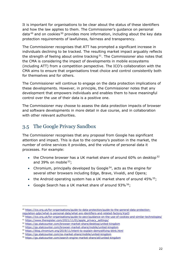It is important for organisations to be clear about the status of these identifiers and how the law applies to them. The Commissioner's guidance on personal data  $49$  and on cookies  $50$  provides more information, including about the key data protection requirements of lawfulness, fairness and transparency.

The Commissioner recognises that ATT has prompted a significant increase in individuals declining to be tracked. The resulting market impact arguably reflects the strength of feeling about online tracking  $51$ . The Commissioner also notes that the CMA is considering the impact of developments in mobile ecosystems (including ATT) from a competition perspective. The ICO's collaboration with the CMA aims to ensure that organisations treat choice and control consistently both for themselves and for others.

The Commissioner will continue to engage on the data protection implications of these developments. However, in principle, the Commissioner notes that any development that empowers individuals and enables them to have meaningful control over the use of their data is a positive one.

The Commissioner may choose to assess the data protection impacts of browser and software developments in more detail in due course, and in collaboration with other relevant authorities.

## <span id="page-21-0"></span>3.5 The Google Privacy Sandbox

The Commissioner recognises that any proposal from Google has significant attention and impact. This is due to the company's position in the market, the number of online services it provides, and the volume of personal data it processes. For example:

- the Chrome browser has a UK market share of around 60% on desktop  $52$ and 39% on mobile  $53$ ;
- Chromium, principally developed by Google<sup>[54](#page-21-6)</sup>, acts as the engine for several other browsers including Edge, Brave, Vivaldi, and Opera;
- the Android operating system has a UK market share of around  $45\%$   $55$ ;
- Google Search has a UK market share of around 93% 56:

<sup>49</sup> [https://ico.org.uk/for-organisations/guide-to-data-protection/guide-to-the-general-data-protection-](https://ico.org.uk/for-organisations/guide-to-data-protection/guide-to-the-general-data-protection-regulation-gdpr/what-is-personal-data/what-are-identifiers-and-related-factors/#pd3)

<span id="page-21-1"></span>[regulation-gdpr/what-is-personal-data/what-are-identifiers-and-related-factors/#pd3](https://ico.org.uk/for-organisations/guide-to-data-protection/guide-to-the-general-data-protection-regulation-gdpr/what-is-personal-data/what-are-identifiers-and-related-factors/#pd3)

<span id="page-21-2"></span><sup>50</sup> <https://ico.org.uk/for-organisations/guide-to-pecr/guidance-on-the-use-of-cookies-and-similar-technologies/>

<span id="page-21-3"></span><sup>51</sup> [https://www.theregister.com/2021/11/01/apple\\_privacy\\_settings/](https://www.theregister.com/2021/11/01/apple_privacy_settings/)

<span id="page-21-4"></span><sup>52</sup> <https://gs.statcounter.com/browser-market-share/desktop/united-kingdom>

<span id="page-21-5"></span><sup>53</sup> <https://gs.statcounter.com/browser-market-share/mobile/united-kingdom> <sup>54</sup> <https://blog.chromium.org/2019/11/intent-to-explain-demystifying-blink.html>

<span id="page-21-6"></span>

<span id="page-21-7"></span><sup>55</sup> <https://gs.statcounter.com/os-market-share/mobile/united-kingdom>

<span id="page-21-8"></span><sup>56</sup> <https://gs.statcounter.com/search-engine-market-share/all/united-kingdom>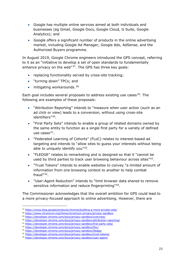- Google has multiple online services aimed at both individuals and businesses (eg Gmail, Google Docs, Google Cloud, G Suite, Google Analytics); and
- Google offers a significant number of products in the online advertising market, including Google Ad Manager, Google Ads, AdSense, and the Authorized Buyers programme.

In August 2019, Google Chrome engineers introduced the GPS concept, referring to it as an "initiative to develop a set of open standards to fundamentally enhance privacy on the web"<sup>[57](#page-22-0)</sup>. The GPS has three key goals:

- replacing functionality served by cross-site tracking;
- "turning down" TPCs; and
- $\bullet$  mitigating workarounds.  $58$

Each goal includes several proposals to address existing use cases<sup>59</sup>. The following are examples of these proposals:

- "Attribution Reporting" intends to "measure when user action (such as an ad click or view) leads to a conversion, without using cross-site identifiers" [60.](#page-22-3)
- "First Party Sets" intends to enable a group of related domains owned by the same entity to function as a single first party for a variety of defined use cases  $61$ .
- "Federated Learning of Cohorts" (FLoC) relates to interest-based ad targeting and intends to "allow sites to guess your interests without being able to uniquely identify you" $62$ .
- "FLEDGE" relates to remarketing and is designed so that it "cannot be used by third parties to track user browsing behaviour across sites"<sup>63</sup>.
- "Trust Tokens" intends to enable websites to convey "a limited amount of information from one browsing context to another to help combat fraud" $64$ .
- "User-Agent Reduction" intends to "limit browser data shared to remove sensitive information and reduce fingerprinting"<sup>[65](#page-22-8)</sup>.

The Commissioner acknowledges that the overall ambition for GPS could lead to a more privacy-focused approach to online advertising. However, there are

<sup>57</sup> <https://www.blog.google/products/chrome/building-a-more-private-web/>

<span id="page-22-1"></span><span id="page-22-0"></span><sup>58</sup> <https://www.chromium.org/Home/chromium-privacy/privacy-sandbox>

<span id="page-22-2"></span><sup>59</sup> <https://developer.chrome.com/docs/privacy-sandbox/overview/>

<span id="page-22-3"></span><sup>60</sup> <https://developer.chrome.com/docs/privacy-sandbox/attribution-reporting/>

<span id="page-22-4"></span><sup>61</sup> <https://developer.chrome.com/docs/privacy-sandbox/first-party-sets/>

<span id="page-22-5"></span><sup>62</sup> <https://developer.chrome.com/docs/privacy-sandbox/floc/>

<span id="page-22-6"></span><sup>63</sup> <https://developer.chrome.com/docs/privacy-sandbox/fledge/>

<span id="page-22-7"></span><sup>64</sup> <https://developer.chrome.com/docs/privacy-sandbox/trust-tokens/>

<span id="page-22-8"></span><sup>65</sup> <https://developer.chrome.com/docs/privacy-sandbox/user-agent/>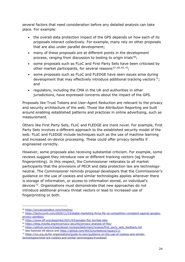several factors that need consideration before any detailed analysis can take place. For example:

- the overall data protection impact of the GPS depends on how each of its proposals interact collectively. For example, many rely on other proposals that are also under parallel development;
- many of these proposals are at different points in the development process, ranging from discussion to testing to origin trials<sup>66</sup>;
- some proposals such as FLoC and First Party Sets have been criticised by other market participants, for several reasons  $67,68,69,70$  $67,68,69,70$  $67,68,69,70$  $67,68,69,70$ ;
- some proposals such as FLoC and FLEDGE have seen issues arise during development that may effectively introduce additional tracking vectors  $71$ ; and
- regulators, including the CMA in the UK and authorities in other jurisdictions, have expressed concerns about the impact of the GPS.

Proposals like Trust Tokens and User-Agent Reduction are relevant to the privacy and security architecture of the web. Those like Attribution Reporting are built around enabling established patterns and practices in online advertising, such as measurement.

Others like First Party Sets, FLoC and FLEDGE are more novel. For example, First Party Sets involves a different approach to the established security model of the web. FLoC and FLEDGE include techniques such as the use of machine learning and increased on-device processing. These could offer privacy benefits if engineered correctly.

However, some proposals also receiving substantial criticism. For example, some reviews suggest they introduce new or different tracking vectors (eg through fingerprinting). In this respect, the Commissioner reiterates to all market participants that the provisions of PECR and data protection law are technologyneutral. The Commissioner reminds proposal developers that the Commissioner's guidance on the use of cookies and similar technologies applies wherever there is storage of information, or access to information stored, on individual's devices [72](#page-23-6). Organisations must demonstrate that new approaches do not introduce additional privacy threat vectors or lead to increased use of fingerprinting or both.

<span id="page-23-0"></span><sup>66</sup> <https://privacysandbox.com/timeline/>

<span id="page-23-1"></span><sup>67</sup> [https://techcrunch.com/2020/11/23/digital-marketing-firms-file-uk-competition-complaint-against-googles](https://techcrunch.com/2020/11/23/digital-marketing-firms-file-uk-competition-complaint-against-googles-privacy-sandbox/)[privacy-sandbox/](https://techcrunch.com/2020/11/23/digital-marketing-firms-file-uk-competition-complaint-against-googles-privacy-sandbox/)

<sup>68</sup> <https://www.eff.org/deeplinks/2021/03/googles-floc-terrible-idea>

<span id="page-23-3"></span><span id="page-23-2"></span><sup>69</sup> <https://blog.mozilla.org/en/privacy-security/privacy-analysis-of-floc/>

<span id="page-23-4"></span><sup>&</sup>lt;sup>70</sup> [https://github.com/w3ctag/design-reviews/blob/main/reviews/first\\_party\\_sets\\_feedback.md](https://github.com/w3ctag/design-reviews/blob/main/reviews/first_party_sets_feedback.md)

<span id="page-23-5"></span><sup>&</sup>lt;sup>71</sup> See footnote 69 above and<https://github.com/WICG/turtledove/issues/211>

<span id="page-23-6"></span><sup>72</sup> [https://ico.org.uk/for-organisations/guide-to-pecr/guidance-on-the-use-of-cookies-and-similar](https://ico.org.uk/for-organisations/guide-to-pecr/guidance-on-the-use-of-cookies-and-similar-technologies/what-are-cookies-and-similar-technologies/#cookies5)[technologies/what-are-cookies-and-similar-technologies/#cookies5](https://ico.org.uk/for-organisations/guide-to-pecr/guidance-on-the-use-of-cookies-and-similar-technologies/what-are-cookies-and-similar-technologies/#cookies5)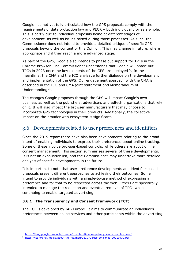Google has not yet fully articulated how the GPS proposals comply with the requirements of data protection law and PECR – both individually or as a whole. This is partly due to individual proposals being at different stages of development, as well as issues raised during those processes. As such, the Commissioner does not intend to provide a detailed critique of specific GPS proposals beyond the content of this Opinion. This may change in future, where appropriate and if they reach a more advanced stage.

As part of the GPS, Google also intends to phase out support for TPCs in the Chrome browser. The Commissioner understands that Google will phase out TPCs in 2023 once the key elements of the GPS are deployed  $73$ . In the meantime, the CMA and the ICO envisage further dialogue on the development and implementation of the GPS. Our engagement approach with the CMA is described in the ICO and CMA joint statement and Memorandum of Understanding [74.](#page-24-2)

The changes Google proposes through the GPS will impact Google's own business as well as the publishers, advertisers and adtech organisations that rely on it. It will also impact the browser manufacturers that may choose to incorporate GPS technologies in their products. Additionally, the collective impact on the broader web ecosystem is significant.

### <span id="page-24-0"></span>3.6 Developments related to user preferences and identifiers

Since the 2019 report there have also been developments relating to the broad intent of enabling individuals to express their preferences about online tracking. Some of these involve browser-based controls, while others are about online consent management. This section summarises several of these developments. It is not an exhaustive list, and the Commissioner may undertake more detailed analysis of specific developments in the future.

It is important to note that user preference developments and identifier-based proposals present different approaches to achieving their outcomes. Some intend to provide individuals with a simple-to-use method of expressing a preference and for that to be respected across the web. Others are specifically intended to manage the reduction and eventual removal of TPCs while continuing to enable targeted advertising.

### **3.6.1 The Transparency and Consent Framework (TCF)**

The TCF is developed by IAB Europe. It aims to communicate an individual's preferences between online services and other participants within the advertising

<span id="page-24-1"></span><sup>73</sup> <https://blog.google/products/chrome/updated-timeline-privacy-sandbox-milestones/>

<span id="page-24-2"></span><sup>74</sup> <https://ico.org.uk/media/about-the-ico/mou/2619798/ico-cma-mou-20210430.pdf>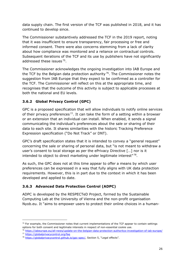data supply chain. The first version of the TCF was published in 2018, and it has continued to develop since.

The Commissioner substantively addressed the TCF in the 2019 report, noting that it was insufficient to ensure transparency, fair processing or free and informed consent. There were also concerns stemming from a lack of clarity about how compliance was monitored and a reliance on contractual controls. Subsequent iterations of the TCF and its use by publishers have not significantly addressed these issues [75](#page-25-0).

The Commissioner acknowledges the ongoing investigation into IAB Europe and the TCF by the Belgian data protection authority  $76$ . The Commissioner notes the suggestion from IAB Europe that they expect to be confirmed as a controller for the TCF. The Commissioner will reflect on this at the appropriate time, and recognises that the outcome of this activity is subject to applicable processes at both the national and EU levels.

### **3.6.2 Global Privacy Control (GPC)**

GPC is a proposed specification that will allow individuals to notify online services of their privacy preferences<sup>77</sup>. It can take the form of a setting within a browser or an extension that an individual can install. When enabled, it sends a signal communicating the individual's preferences about the sale or sharing of their data to each site. It shares similarities with the historic Tracking Preference Expression specification ("Do Not Track" or DNT).

GPC's draft specification states that it is intended to convey a "general request" concerning the sale or sharing of personal data, but "is not meant to withdraw a user's consent to local storage as per the ePrivacy Directive […] nor is it intended to object to direct marketing under legitimate interest"[78](#page-25-3).

As such, the GPC does not at this time appear to offer a means by which user preferences can be expressed in a way that fully aligns with UK data protection requirements. However, this is in part due to the context in which it has been developed and applied to date.

### **3.6.3 Advanced Data Protection Control (ADPC)**

ADPC is developed by the RESPECTeD Project, formed by the Sustainable Computing Lab at the University of Vienna and the non-profit organisation Nyob.eu. It "aims to empower users to protect their online choices in a human-

<span id="page-25-0"></span> $75$  For example, the Commissioner notes that current implementations of the TCF appear to contain settings options for both consent and legitimate interests in respect of non-essential cookie use.

<span id="page-25-2"></span><span id="page-25-1"></span><sup>76</sup> <https://iabeurope.eu/all-news/update-on-the-belgian-data-protection-authoritys-investigation-of-iab-europe/> <sup>77</sup> <https://globalprivacycontrol.org/faq>

<span id="page-25-3"></span><sup>&</sup>lt;sup>78</sup> [https://globalprivacycontrol.github.io/gpc-spec/,](https://globalprivacycontrol.github.io/gpc-spec/) Section 5, "Legal effects".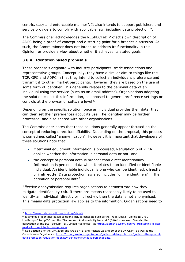centric, easy and enforceable manner". It also intends to support publishers and service providers to comply with applicable law, including data protection  $79$ .

The Commissioner acknowledges the RESPECTeD Project's own description of ADPC being a proof-of-concept and a starting point for a broader discussion. As such, the Commissioner does not intend to address its functionality in this Opinion, or provide a view about whether it achieves its stated goals.

### **3.6.4 Identifier-based proposals**

These proposals originate with industry participants, trade associations and representative groups. Conceptually, they have a similar aim to things like the TCF, GPC and ADPC in that they intend to collect an individual's preference and transmit it to other market participants. However, they are based on the use of some form of identifier. This generally relates to the personal data of an individual using the service (such as an email address). Organisations adopting the solution collect this information, as opposed to general preference settings or controls at the browser or software level<sup>80</sup>.

Depending on the specific solution, once an individual provides their data, they can then set their preferences about its use. The identifier may be further processed, and also shared with other organisations.

The Commissioner notes that these solutions generally appear focused on the concept of reducing direct identifiability. Depending on the proposal, this process is sometimes called "anonymisation". However, it is important that developers of these solutions note that:

- if terminal equipment information is processed, Regulation 6 of PECR applies whether the information is personal data or not; and
- the concept of personal data is broader than direct identifiability. Information is personal data when it relates to an identified or identifiable individual. An identifiable individual is one who can be identified, **directly** or **indirectly.** Data protection law also includes "online identifiers" in the definition of personal data [81](#page-26-2).

Effective anonymisation requires organisations to demonstrate how they mitigate identifiability risk. If there are means reasonably likely to be used to identify an individual (directly or indirectly), then the data is not anonymised. This means data protection law applies to the information. Organisations need to

<sup>79</sup> <https://www.dataprotectioncontrol.org/about/>

<span id="page-26-1"></span><span id="page-26-0"></span><sup>80</sup> Examples of identifier-based solutions include concepts such as the Trade Desk's "Unified ID 2.0", LiveRamp's "RampID", and the "Secure Web Addressability Network" (SWAN) proposal. See also the description of the IAB TechLab, "1:1 Linked Audiences", at [https://iabtechlab.com/blog/re-architecting-digital](https://iabtechlab.com/blog/re-architecting-digital-media-for-predictable-user-privacy/)[media-for-predictable-user-privacy/.](https://iabtechlab.com/blog/re-architecting-digital-media-for-predictable-user-privacy/)

<span id="page-26-2"></span><sup>81</sup> See Section 3 of the DPA 2018 and Article 4(1) and Recitals 26 and 30 of the UK GDPR, as well as the Commissioner's guidance: [https://ico.org.uk/for-organisations/guide-to-data-protection/guide-to-the-general](https://ico.org.uk/for-organisations/guide-to-data-protection/guide-to-the-general-data-protection-regulation-gdpr/key-definitions/what-is-personal-data/)[data-protection-regulation-gdpr/key-definitions/what-is-personal-data/](https://ico.org.uk/for-organisations/guide-to-data-protection/guide-to-the-general-data-protection-regulation-gdpr/key-definitions/what-is-personal-data/)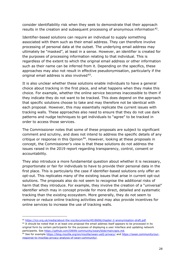consider identifiability risk when they seek to demonstrate that their approach results in the creation and subsequent processing of anonymous information <sup>[82](#page-27-0)</sup>.

Identifier-based solutions can require an individual to supply something associated with them such as their email address. They can therefore involve processing of personal data at the outset. The underlying email address may ultimately be "masked", at least in a sense. However, an identifier is created for the purposes of processing information relating to that individual. This is regardless of the extent to which the original email address or other information such as their name can be inferred from it. Depending on the specifics, these approaches may also not result in effective pseudonymisation, particularly if the original email address is also involved [83](#page-27-1).

It is also unclear whether these solutions enable individuals to have a general choice about tracking in the first place, and what happens when they make this choice. For example, whether the online service becomes inaccessible to them if they indicate they do not want to be tracked. This does depend on the approach that specific solutions choose to take and may therefore not be identical with each proposal. However, this may essentially replicate the current issues with tracking walls. These approaches also need to ensure that they do not use dark patterns and nudge techniques to get individuals to "agree" to be tracked in order to access those services.

The Commissioner notes that some of these proposals are subject to significant comment and scrutiny, and does not intend to address the specific details of any critique or response in this Opinion<sup>[84](#page-27-2)</sup>. However, looking at these proposals in concept, the Commissioner's view is that these solutions do not address the issues raised in the 2019 report regarding transparency, control, consent or accountability.

They also introduce a more fundamental question about whether it is necessary, proportionate or fair for individuals to have to provide their personal data in the first place. This is particularly the case if identifier-based solutions only offer an opt-out. This replicates many of the existing issues that arise in current opt-out solutions. The proposals also do not seem to recognise the additional risks of harm that they introduce. For example, they involve the creation of a "universal" identifier which may in concept provide for more direct, detailed and systematic tracking than the existing ecosystem. More generally, they do not seem to remove or reduce online tracking activities and may also provide incentives for online services to increase the use of tracking walls.

<span id="page-27-0"></span><sup>82</sup> [https://ico.org.uk/media/about-the-ico/documents/4018606/chapter-2-anonymisation-draft.pdf.](https://ico.org.uk/media/about-the-ico/documents/4018606/chapter-2-anonymisation-draft.pdf)

<span id="page-27-1"></span><sup>83</sup> It should be noted that in at least one proposal the email address itself appears to be processed in its original form by certain participants for the purposes of displaying a user interface and updating network participants. See [https://github.com/SWAN-community/swan/blob/main/apis.md.](https://github.com/SWAN-community/swan/blob/main/apis.md)

<span id="page-27-2"></span><sup>84</sup> See for example<https://blog.mozilla.org/en/mozilla/swan-uid2-privacy/> and [https://swan.community/our](https://swan.community/our-response-to-mozillas-privacy-analysis-of-swan-community/)[response-to-mozillas-privacy-analysis-of-swan-community/.](https://swan.community/our-response-to-mozillas-privacy-analysis-of-swan-community/)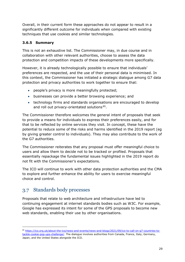Overall, in their current form these approaches do not appear to result in a significantly different outcome for individuals when compared with existing techniques that use cookies and similar technologies.

### **3.6.5 Summary**

This is not an exhaustive list. The Commissioner may, in due course and in collaboration with other relevant authorities, choose to assess the data protection and competition impacts of these developments more specifically.

However, it is already technologically possible to ensure that individuals' preferences are respected, and the use of their personal data is minimised. In this context, the Commissioner has initiated a strategic dialogue among G7 data protection and privacy authorities to work together to ensure that:

- people's privacy is more meaningfully protected;
- businesses can provide a better browsing experience; and
- technology firms and standards organisations are encouraged to develop and roll out privacy-orientated solutions [85](#page-28-1).

The Commissioner therefore welcomes the general intent of proposals that seek to provide a means for individuals to express their preferences easily, and for that to be reflected by online services they visit. In concept, these have the potential to reduce some of the risks and harms identified in the 2019 report (eg by giving greater control to individuals). They may also contribute to the work of the G7 authorities.

The Commissioner reiterates that any proposal must offer meaningful choice to users and allow them to decide not to be tracked or profiled. Proposals that essentially repackage the fundamental issues highlighted in the 2019 report do not fit with the Commissioner's expectations.

The ICO will continue to work with other data protection authorities and the CMA to explore and further enhance the ability for users to exercise meaningful choice and control.

## <span id="page-28-0"></span>3.7 Standards body processes

Proposals that relate to web architecture and infrastructure have led to continuing engagement at internet standards bodies such as W3C. For example, Google has expressed its intent for some of the GPS proposals to become new web standards, enabling their use by other organisations.

<span id="page-28-1"></span><sup>85</sup> [https://ico.org.uk/about-the-ico/news-and-events/news-and-blogs/2021/09/ico-to-call-on-g7-countries-to](https://ico.org.uk/about-the-ico/news-and-events/news-and-blogs/2021/09/ico-to-call-on-g7-countries-to-tackle-cookie-pop-ups-challenge/)[tackle-cookie-pop-ups-challenge/.](https://ico.org.uk/about-the-ico/news-and-events/news-and-blogs/2021/09/ico-to-call-on-g7-countries-to-tackle-cookie-pop-ups-challenge/) The dialogue involves authorities from Canada, France, Italy, Germany, Japan, and the United States alongside the ICO.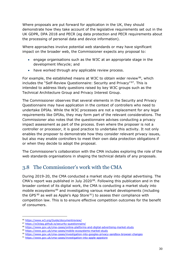Where proposals are put forward for application in the UK, they should demonstrate how they take account of the legislative requirements set out in the UK GDPR, DPA 2018 and PECR (eg data protection and PECR requirements about the processing of personal data and device information).

Where approaches involve potential web standards or may have significant impact on the broader web, the Commissioner expects any proposal to:

- engage organisations such as the W3C at an appropriate stage in the development lifecycle; and
- have worked through any applicable review process.

For example, the established means at W3C to obtain wider review <sup>86</sup>, which includes the "Self-Review Questionnaire: Security and Privacy"<sup>87</sup>. This is intended to address likely questions raised by key W3C groups such as the Technical Architecture Group and Privacy Interest Group.

The Commissioner observes that several elements in the Security and Privacy Questionnaire may have application in the context of controllers who need to undertake DPIAs. While the W3C processes are not a replacement for any legal requirements like DPIAs, they may form part of the relevant considerations. The Commissioner also notes that the questionnaire advises conducting a privacy impact assessment as part of the process. Even where the proposer is not a controller or processor, it is good practice to undertake this activity. It not only enables the proposer to demonstrate how they consider relevant privacy issues, but also may enable controllers to meet their own data protection obligations if or when they decide to adopt the proposal.

The Commissioner's collaboration with the CMA includes exploring the role of the web standards organisations in shaping the technical details of any proposals.

## <span id="page-29-0"></span>3.8 The Commissioner's work with the CMA

During 2019-20, the CMA conducted a market study into digital advertising. The CMA's report was published in July 2020 $88$ . Following this publication and in the broader context of its digital work, the CMA is conducting a market study into mobile ecosystems [89](#page-29-4) and investigating various market developments (including the GPS $90$  as well as Apple's App Store  $91$ ) to assess their compliance with competition law. This is to ensure effective competition outcomes for the benefit of consumers.

<span id="page-29-1"></span><sup>86</sup> <https://www.w3.org/Guide/documentreview/>

<span id="page-29-2"></span><sup>87</sup> <https://w3ctag.github.io/security-questionnaire/>

<span id="page-29-3"></span><sup>88</sup> <https://www.gov.uk/cma-cases/online-platforms-and-digital-advertising-market-study>

<span id="page-29-4"></span><sup>89</sup> <https://www.gov.uk/cma-cases/mobile-ecosystems-market-study>

<span id="page-29-5"></span><sup>90</sup> <https://www.gov.uk/cma-cases/investigation-into-googles-privacy-sandbox-browser-changes>

<span id="page-29-6"></span><sup>91</sup> <https://www.gov.uk/cma-cases/investigation-into-apple-appstore>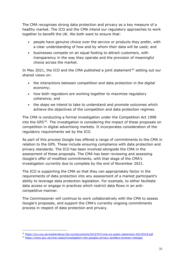The CMA recognises strong data protection and privacy as a key measure of a healthy market. The ICO and the CMA intend our regulatory approaches to work together to benefit the UK. We both want to ensure that:

- people have genuine choice over the service or products they prefer, with a clear understanding of how and by whom their data will be used; and
- businesses compete on an equal footing to attract customers, with transparency in the way they operate and the provision of meaningful choice across the market.

In May 2021, the ICO and the CMA published a joint statement  $92$  setting out our shared views on:

- the interactions between competition and data protection in the digital economy;
- how both regulators are working together to maximise regulatory coherence; and
- the steps we intend to take to understand and promote outcomes which achieve the objectives of the competition and data protection regimes.

The CMA is conducting a formal investigation under the Competition Act 1998 into the GPS $93$ . The investigation is considering the impact of these proposals on competition in digital advertising markets. It incorporates consideration of the regulatory requirements set by the ICO.

As part of this process Google has offered a range of commitments to the CMA in relation to the GPS. These include ensuring compliance with data protection and privacy standards. The ICO has been involved alongside the CMA in the assessment of these proposals. The CMA has been reviewing and assessing Google's offer of modified commitments, with that stage of the CMA's investigation currently due to complete by the end of November 2021.

The ICO is supporting the CMA so that they can appropriately factor in the requirements of data protection into any assessment of a market participant's ability to leverage data protection legislation. For example, to either facilitate data access or engage in practices which restrict data flows in an anticompetitive manner.

The Commissioner will continue to work collaboratively with the CMA to assess Google's proposals, and support the CMA's currently ongoing commitments process in respect of data protection and privacy.

<sup>92</sup> <https://ico.org.uk/media/about-the-ico/documents/2619797/cma-ico-public-statement-20210518.pdf>

<span id="page-30-1"></span><span id="page-30-0"></span><sup>93</sup> <https://www.gov.uk/cma-cases/investigation-into-googles-privacy-sandbox-browser-changes>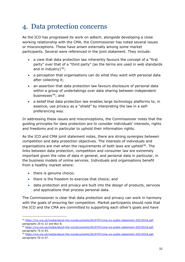# <span id="page-31-0"></span>4. Data protection concerns

As the ICO has progressed its work on adtech, alongside developing a close working relationship with the CMA, the Commissioner has noted several issues or misconceptions. These have arisen externally among some market participants. Several were referenced in the joint statement. They include:

- a view that data protection law inherently favours the concept of a "first party" over that of a "third party" (as the terms are used in web standards and in industry)  $94$ ;
- a perception that organisations can do what they want with personal data after collecting it;
- an assertion that data protection law favours disclosure of personal data within a group of undertakings over data sharing between independent businesses<sup>95</sup>; and
- a belief that data protection law enables large technology platforms to, in essence, use privacy as a "shield" by interpreting the law in a selfpreferencing way.

In addressing these issues and misconceptions, the Commissioner notes that the guiding principles for data protection are to consider individuals' interests, rights and freedoms and in particular to uphold their information rights.

As the ICO and CMA joint statement notes, there are strong synergies between competition and data protection objectives. The interests of individuals and organisations are met when the requirements of both laws are upheld <sup>[96](#page-31-3)</sup>. The links between data protection, competition and consumer law are extremely important given the roles of data in general, and personal data in particular, in the business models of online services. Individuals and organisations benefit from a healthy market where:

- there is genuine choice;
- there is the freedom to exercise that choice; and
- data protection and privacy are built into the design of products, services and applications that process personal data.

The Commissioner is clear that data protection and privacy can work in harmony with the goals of ensuring fair competition. Market participants should note that the ICO and the CMA are committed to supporting each other's goals and have

<span id="page-31-1"></span><sup>94</sup> [https://ico.org.uk/media/about-the-ico/documents/2619797/cma-ico-public-statement-20210518.pdf,](https://ico.org.uk/media/about-the-ico/documents/2619797/cma-ico-public-statement-20210518.pdf) paragraphs 20 to 22 and Box B.

<span id="page-31-2"></span><sup>95</sup> [https://ico.org.uk/media/about-the-ico/documents/2619797/cma-ico-public-statement-20210518.pdf,](https://ico.org.uk/media/about-the-ico/documents/2619797/cma-ico-public-statement-20210518.pdf) paragraphs 76 to 83.

<span id="page-31-3"></span><sup>96</sup> [https://ico.org.uk/media/about-the-ico/documents/2619797/cma-ico-public-statement-20210518.pdf,](https://ico.org.uk/media/about-the-ico/documents/2619797/cma-ico-public-statement-20210518.pdf) paragraphs 50 to 67.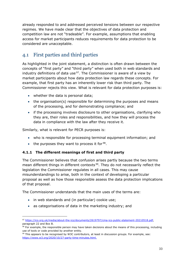already responded to and addressed perceived tensions between our respective regimes. We have made clear that the objectives of data protection and competition law are not "tradeable". For example, assumptions that enabling access for market participants reduces requirements for data protection to be considered are unacceptable.

# <span id="page-32-0"></span>4.1 First parties and third parties

As highlighted in the joint statement, a distinction is often drawn between the concepts of "first party" and "third party" when used both in web standards and industry definitions of data use  $97$ . The Commissioner is aware of a view by market participants about how data protection law regards these concepts. For example, that first party has an inherently lower risk than third party. The Commissioner rejects this view. What is relevant for data protection purposes is:

- whether the data is personal data;
- the organisation(s) responsible for determining the purposes and means of the processing, and for demonstrating compliance; and
- if the processing involves disclosure to other organisations, clarifying who they are, their roles and responsibilities, and how they will process the data in compliance with the law after they receive it.

Similarly, what is relevant for PECR purposes is:

- who is responsible for processing terminal equipment information; and
- the purposes they want to process it for  $98$ .

### **4.1.1 The different meanings of first and third party**

The Commissioner believes that confusion arises partly because the two terms mean different things in different contexts<sup>99</sup>. They do not necessarily reflect the legislation the Commissioner regulates in all cases. This may cause misunderstandings to arise, both in the context of developing a particular proposal as well as how those responsible assess the data protection implications of that proposal.

The Commissioner understands that the main uses of the terms are:

- in web standards and (in particular) cookie use;
- as categorisations of data in the marketing industry; and

<span id="page-32-1"></span><sup>97</sup> [https://ico.org.uk/media/about-the-ico/documents/2619797/cma-ico-public-statement-20210518.pdf,](https://ico.org.uk/media/about-the-ico/documents/2619797/cma-ico-public-statement-20210518.pdf) paragraph 22 and Box B.

<span id="page-32-2"></span><sup>98</sup> For example, the responsible person may have taken decisions about the means of this processing, including use of tools or code provided by another entity.

<span id="page-32-3"></span> $99$  This appears to be recognised by W3C contributors, at least in discussion groups. For example, see: [https://www.w3.org/2020/10/27-party-time-minutes.html.](https://www.w3.org/2020/10/27-party-time-minutes.html)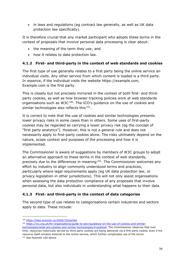• in laws and regulations (eg contract law generally, as well as UK data protection law specifically).

It is therefore crucial that any market participant who adopts these terms in the context of proposals that involve personal data processing is clear about:

- the meaning of the term they use; and
- how it relates to data protection law.

### **4.1.2 First- and third-party in the context of web standards and cookies**

The first type of use generally relates to a first party being the online service an individual visits. Any other service from which content is loaded is a third party. In essence, if the individual visits the website https://example.com, Example.com is the first party.

This is closely but not precisely mirrored in the context of both first- and thirdparty cookies, as well as how browser tracking policies work at web standards organisations such as  $W3C^{100}$ . The ICO's guidance on the use of cookies and similar technologies also reflects this <sup>101</sup>.

It is correct to note that the use of cookies and similar technologies presents lower privacy risks in some cases than in others. Some uses of first-party cookies may be regarded as carrying a lower privacy risk (eg the concept of "first party analytics"). However, this is not a general rule and does not necessarily apply to first-party cookies alone. The risks ultimately depend on the nature, scope context and purposes of the processing and how it is implemented.

The Commissioner is aware of suggestions by members of W3C groups to adopt an alternative approach to these terms in the context of web standards, precisely due to the differences in meaning [102.](#page-33-2) The Commissioner welcomes any effort by industry to align commonly understood terms and practices, particularly where legal requirements apply (eg UK data protection law, or privacy legislation in other jurisdictions). This will not only assist organisations when assessing the data protection compliance of any proposals that involve personal data, but also individuals in understanding what happens to their data.

### **4.1.3 First- and third-party in the context of data categories**

The second type of use relates to categorisations certain industries and sectors apply to data. These include:

<span id="page-33-0"></span><sup>100</sup> <https://tess.oconnor.cx/2020/10/parties>

<span id="page-33-1"></span><sup>101</sup> [https://ico.org.uk/for-organisations/guide-to-pecr/guidance-on-the-use-of-cookies-and-similar-](https://ico.org.uk/for-organisations/guide-to-pecr/guidance-on-the-use-of-cookies-and-similar-technologies/what-are-cookies-and-similar-technologies/#cookies4)

<span id="page-33-2"></span>[technologies/what-are-cookies-and-similar-technologies/#cookies4.](https://ico.org.uk/for-organisations/guide-to-pecr/guidance-on-the-use-of-cookies-and-similar-technologies/what-are-cookies-and-similar-technologies/#cookies4) The Commissioner observes that over time, resources historically served by third party cookies are being delivered via a first party cookie, even if the resource itself remains external to the online service, which further complicates use of the terms. <sup>102</sup> [See](https://tess.oconnor.cx/2020/10/parties) footnote 100 above.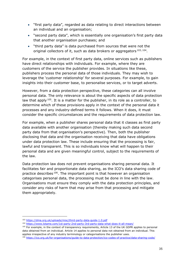- "first party data", regarded as data relating to direct interactions between an individual and an organisation;
- "second party data", which is essentially one organisation's first party data that another organisation purchases; and
- "third party data" is data purchased from sources that were not the original collectors of it, such as data brokers or aggregators  $103, 104$  $103, 104$  $103, 104$ .

For example, in the context of first party data, online services such as publishers have direct relationships with individuals. For example, where they are customers of the service the publisher provides. In situations like these, publishers process the personal data of those individuals. They may wish to leverage the 'customer relationship' for several purposes. For example, to gain insights into their customer base, to personalise services, or to target adverts.

However, from a data protection perspective, these categories can all involve personal data. The only relevance is about the specific aspects of data protection law that apply  $105$ . It is a matter for the publisher, in its role as a controller, to determine which of these provisions apply in the context of the personal data it processes and any industry-defined terms it follows. When it does, it must consider the specific circumstances and the requirements of data protection law.

For example, when a publisher shares personal data that it classes as first party data available with another organisation (thereby making such data second party data from that organisation's perspective). Then, both the publisher disclosing that data and the organisation receiving that data have obligations under data protection law. These include ensuring that the processing is fair, lawful and transparent. This is so individuals know what will happen to their personal data and are given meaningful control, subject to the requirements of the law.

Data protection law does not prevent organisations sharing personal data. It facilitates fair and proportionate data sharing, as the ICO's data sharing code of practice describes<sup>106</sup>. The important point is that however an organisation categorises personal data, the processing must be done in line with the law. Organisations must ensure they comply with the data protection principles, and consider any risks of harm that may arise from that processing and mitigate them appropriately.

<span id="page-34-0"></span><sup>103</sup> <https://dma.org.uk/uploads/misc/third-party-data-guide-1.0.pdf>

<sup>104</sup> <https://www.lotame.com/1st-party-2nd-party-3rd-party-data-what-does-it-all-mean/>

<span id="page-34-2"></span><span id="page-34-1"></span><sup>&</sup>lt;sup>105</sup> For example, in the context of transparency requirements, Article 13 of the UK GDPR applies to personal data obtained from an individual. Article 14 applies to personal data not obtained from an individual. This applies irrespective of any industry terminology or categorisations the publisher uses.

<span id="page-34-3"></span><sup>106</sup> <https://ico.org.uk/for-organisations/guide-to-data-protection/ico-codes-of-practice/data-sharing-code/>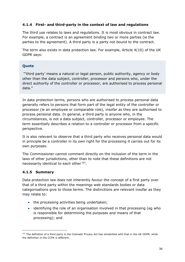### **4.1.4 First- and third-party in the context of law and regulations**

The third use relates to laws and regulations. It is most obvious in contract law. For example, a contract is an agreement binding two or more parties (ie the parties to the agreement). A third party is a party not bound to the contract.

The term also exists in data protection law. For example, Article 4(10) of the UK GDPR says:

### **Quote**

"'third party' means a natural or legal person, public authority, agency or body other than the data subject, controller, processor and persons who, under the direct authority of the controller or processor, are authorised to process personal data."

In data protection terms, persons who are authorised to process personal data generally refers to persons that form part of the legal entity of the controller or processor (ie an employee or comparable role), insofar as they are authorised to process personal data. In general, a third party is anyone who, in the circumstances, is not a data subject, controller, processor or employee. The term essentially describes a relation to a controller or processor from a specific perspective.

It is also relevant to observe that a third party who receives personal data would in principle be a controller in its own right for the processing it carries out for its own purposes.

The Commissioner cannot comment directly on the inclusion of the term in the laws of other jurisdictions, other than to note that these definitions are not necessarily identical to each other [107.](#page-35-0)

### **4.1.5 Summary**

Data protection law does not inherently favour the concept of a first party over that of a third party within the meanings web standards bodies or data categorisations give to those terms. The distinctions are relevant insofar as they may relate to:

- the processing activities being undertaken;
- identifying the role of an organisation involved in that processing (eg who is responsible for determining the purposes and means of that processing); and

<span id="page-35-0"></span><sup>&</sup>lt;sup>107</sup> The definition of a third party in the Colorado Privacy Act has similarities with that in the UK GDPR, while the definition in the CCPA is different.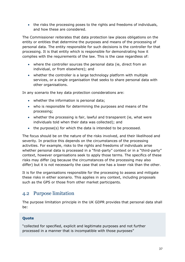• the risks the processing poses to the rights and freedoms of individuals, and how these are considered.

The Commissioner reiterates that data protection law places obligations on the entity or entities that determine the purposes and means of the processing of personal data. The entity responsible for such decisions is the controller for that processing. It is that entity which is responsible for demonstrating how it complies with the requirements of the law. This is the case regardless of:

- where the controller sources the personal data (ie, direct from an individual, or from elsewhere); and
- whether the controller is a large technology platform with multiple services, or a single organisation that seeks to share personal data with other organisations.

In any scenario the key data protection considerations are:

- whether the information is personal data;
- who is responsible for determining the purposes and means of the processing;
- whether the processing is fair, lawful and transparent (ie, what were individuals told when their data was collected); and
- the purpose(s) for which the data is intended to be processed.

The focus should be on the nature of the risks involved, and their likelihood and severity. In practice this depends on the circumstances of the processing activities. For example, risks to the rights and freedoms of individuals arise whether personal data is processed in a "first-party" context or in a "third-party" context, however organisations seek to apply those terms. The specifics of these risks may differ (eg because the circumstances of the processing may also differ) but it is not necessarily the case that one has a lower risk than the other.

It is for the organisations responsible for the processing to assess and mitigate these risks in either scenario. This applies in any context, including proposals such as the GPS or those from other market participants.

### <span id="page-36-0"></span>4.2 Purpose limitation

The purpose limitation principle in the UK GDPR provides that personal data shall be:

### **Quote**

"collected for specified, explicit and legitimate purposes and not further processed in a manner that is incompatible with those purposes"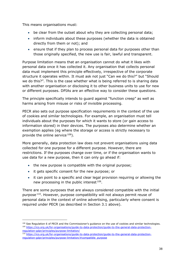This means organisations must:

- be clear from the outset about why they are collecting personal data;
- inform individuals about these purposes (whether the data is obtained directly from them or not); and
- ensure that if they plan to process personal data for purposes other than those originally specified, the new use is fair, lawful and transparent.

Purpose limitation means that an organisation cannot do what it likes with personal data once it has collected it. Any organisation that collects personal data must implement this principle effectively, irrespective of the corporate structure it operates within. It must ask not just "Can we do this?" but "Should we do this?". This is the case whether what is being referred to is sharing data with another organisation or disclosing it to other business units to use for new or different purposes. DPIAs are an effective way to consider these questions.

The principle specifically intends to guard against "function creep" as well as harms arising from misuse or risks of invisible processing.

PECR also sets out purpose specification requirements in the context of the use of cookies and similar technologies. For example, an organisation must tell individuals about the purposes for which it wants to store (or gain access to information stored) in their devices. The purposes also determine whether an exemption applies (eg where the storage or access is strictly necessary to provide the online service [108](#page-37-0)).

More generally, data protection law does not prevent organisations using data collected for one purpose for a different purpose. However, there are restrictions. If the purposes change over time, or if the organisation wants to use data for a new purpose, then it can only go ahead if:

- the new purpose is compatible with the original purpose;
- it gets specific consent for the new purpose; or
- it can point to a specific and clear legal provision requiring or allowing the new processing in the public interest <sup>109</sup>.

There are some purposes that are always considered compatible with the initial purpose [110](#page-37-2). However, purpose compatibility will not always permit reuse of personal data in the context of online advertising, particularly where consent is required under PECR (as described in Section 3.1 above).

<span id="page-37-1"></span><span id="page-37-0"></span><sup>108</sup> See Regulation 6 of PECR and the Commissioner's guidance on the use of cookies and similar technologies. <sup>109</sup> [https://ico.org.uk/for-organisations/guide-to-data-protection/guide-to-the-general-data-protection](https://ico.org.uk/for-organisations/guide-to-data-protection/guide-to-the-general-data-protection-regulation-gdpr/principles/purpose-limitation/)[regulation-gdpr/principles/purpose-limitation/](https://ico.org.uk/for-organisations/guide-to-data-protection/guide-to-the-general-data-protection-regulation-gdpr/principles/purpose-limitation/)

<span id="page-37-2"></span><sup>110</sup> [https://ico.org.uk/for-organisations/guide-to-data-protection/guide-to-the-general-data-protection](https://ico.org.uk/for-organisations/guide-to-data-protection/guide-to-the-general-data-protection-regulation-gdpr/principles/purpose-limitation/#compatible_purpose)[regulation-gdpr/principles/purpose-limitation/#compatible\\_purpose](https://ico.org.uk/for-organisations/guide-to-data-protection/guide-to-the-general-data-protection-regulation-gdpr/principles/purpose-limitation/#compatible_purpose)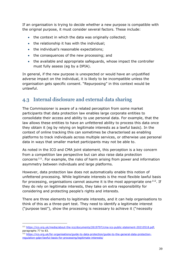If an organisation is trying to decide whether a new purpose is compatible with the original purpose, it must consider several factors. These include:

- the context in which the data was originally collected;
- the relationship it has with the individual;
- the individual's reasonable expectations;
- the consequences of the new processing; and
- the available and appropriate safeguards, whose impact the controller must fully assess (eg by a DPIA).

In general, if the new purpose is unexpected or would have an unjustified adverse impact on the individual, it is likely to be incompatible unless the organisation gets specific consent. "Repurposing" in this context would be unlawful.

### <span id="page-38-0"></span>4.3 Internal disclosure and external data sharing

The Commissioner is aware of a related perception from some market participants that data protection law enables large corporate entities to consolidate their access and ability to use personal data. For example, that the law allows these entities to have an unfettered ability to process this data once they obtain it (eg by relying on legitimate interests as a lawful basis). In the context of online tracking this can sometimes be characterised as enabling platforms to track individuals across multiple services, or otherwise use personal data in ways that smaller market participants may not be able to.

As noted in the ICO and CMA joint statement, this perception is a key concern from a competition law perspective but can also raise data protection concerns [111.](#page-38-1) For example, the risks of harm arising from power and information asymmetry between individuals and large platforms.

However, data protection law does not automatically enable this notion of unfettered processing. While legitimate interests is the most flexible lawful basis for processing, organisations cannot assume it is the most appropriate one  $112$ . If they do rely on legitimate interests, they take on extra responsibility for considering and protecting people's rights and interests.

There are three elements to legitimate interests, and it can help organisations to think of this as a three-part test. They need to identify a legitimate interest ("purpose test"), show the processing is necessary to achieve it ("necessity

<span id="page-38-1"></span><sup>111</sup> [https://ico.org.uk/media/about-the-ico/documents/2619797/cma-ico-public-statement-20210518.pdf,](https://ico.org.uk/media/about-the-ico/documents/2619797/cma-ico-public-statement-20210518.pdf) paragraphs 77 to 83.

<span id="page-38-2"></span><sup>112</sup> [https://ico.org.uk/for-organisations/guide-to-data-protection/guide-to-the-general-data-protection](https://ico.org.uk/for-organisations/guide-to-data-protection/guide-to-the-general-data-protection-regulation-gdpr/lawful-basis-for-processing/legitimate-interests/)[regulation-gdpr/lawful-basis-for-processing/legitimate-interests/](https://ico.org.uk/for-organisations/guide-to-data-protection/guide-to-the-general-data-protection-regulation-gdpr/lawful-basis-for-processing/legitimate-interests/)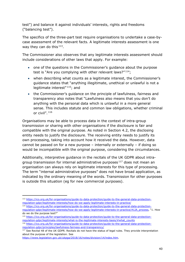test") and balance it against individuals' interests, rights and freedoms ("balancing test").

The specifics of the three-part test require organisations to undertake a case-bycase assessment of the relevant facts. A legitimate interests assessment is one way they can do this  $113$ .

The Commissioner also observes that any legitimate interests assessment should include considerations of other laws that apply. For example:

- one of the questions in the Commissioner's guidance about the purpose test is "Are you complying with other relevant laws?" $114$ ;
- when describing what counts as a legitimate interest, the Commissioner's guidance states that "anything illegitimate, unethical or unlawful is not a legitimate interest"<sup>115</sup>; and
- the Commissioner's guidance on the principle of lawfulness, fairness and transparency also notes that "Lawfulness also means that you don't do anything with the personal data which is unlawful in a more general sense. This includes statute and common law obligations, whether criminal or civil". [116](#page-39-3)

Organisations may be able to process data in the context of intra-group transmission or sharing with other organisations if the disclosure is fair and compatible with the original purpose. As noted in Section 4.2, the disclosing entity needs to justify the disclosure. The receiving entity needs to justify its own processing, taking into account how it received the data. However, data cannot be passed on for a new purpose – internally or externally – if doing so would be incompatible with the original purpose, considering the circumstances.

Additionally, interpretive guidance in the recitals of the UK GDPR about intra-group transmission for internal administrative purposes<sup>[117](#page-39-4)</sup> does not mean an organisation can always rely on legitimate interests for this type of processing. The term "internal administrative purposes" does not have broad application, as indicated by the ordinary meaning of the words. Transmission for other purposes is outside this situation (eg for new commercial purposes).

<span id="page-39-0"></span><sup>113</sup> [https://ico.org.uk/for-organisations/guide-to-data-protection/guide-to-the-general-data-protection](https://ico.org.uk/for-organisations/guide-to-data-protection/guide-to-the-general-data-protection-regulation-gdpr/legitimate-interests/how-do-we-apply-legitimate-interests-in-practice/)[regulation-gdpr/legitimate-interests/how-do-we-apply-legitimate-interests-in-practice/](https://ico.org.uk/for-organisations/guide-to-data-protection/guide-to-the-general-data-protection-regulation-gdpr/legitimate-interests/how-do-we-apply-legitimate-interests-in-practice/)

<span id="page-39-1"></span><sup>114</sup> [https://ico.org.uk/for-organisations/guide-to-data-protection/guide-to-the-general-data-protection](https://ico.org.uk/for-organisations/guide-to-data-protection/guide-to-the-general-data-protection-regulation-gdpr/legitimate-interests/how-do-we-apply-legitimate-interests-in-practice/#LIA_process)[regulation-gdpr/legitimate-interests/how-do-we-apply-legitimate-interests-in-practice/#LIA\\_process,](https://ico.org.uk/for-organisations/guide-to-data-protection/guide-to-the-general-data-protection-regulation-gdpr/legitimate-interests/how-do-we-apply-legitimate-interests-in-practice/#LIA_process) "1. How do we do the purpose test?"

<span id="page-39-2"></span><sup>115</sup> [https://ico.org.uk/for-organisations/guide-to-data-protection/guide-to-the-general-data-protection](https://ico.org.uk/for-organisations/guide-to-data-protection/guide-to-the-general-data-protection-regulation-gdpr/legitimate-interests/what-is-the-legitimate-interests-basis/#what_counts)[regulation-gdpr/legitimate-interests/what-is-the-legitimate-interests-basis/#what\\_counts](https://ico.org.uk/for-organisations/guide-to-data-protection/guide-to-the-general-data-protection-regulation-gdpr/legitimate-interests/what-is-the-legitimate-interests-basis/#what_counts)

<span id="page-39-3"></span><sup>116</sup> [https://ico.org.uk/for-organisations/guide-to-data-protection/guide-to-the-general-data-protection](https://ico.org.uk/for-organisations/guide-to-data-protection/guide-to-the-general-data-protection-regulation-gdpr/principles/lawfulness-fairness-and-transparency/)[regulation-gdpr/principles/lawfulness-fairness-and-transparency/](https://ico.org.uk/for-organisations/guide-to-data-protection/guide-to-the-general-data-protection-regulation-gdpr/principles/lawfulness-fairness-and-transparency/)

<span id="page-39-4"></span><sup>&</sup>lt;sup>117</sup> See Recital 48 of the UK GDPR. Recitals do not have the status of legal rules. They provide interpretation about the purpose of the legislation. See

[https://www.legislation.gov.uk/ukpga/2018/16/notes/division/14/index.htm.](https://www.legislation.gov.uk/ukpga/2018/16/notes/division/14/index.htm)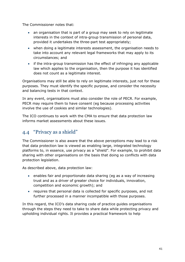The Commissioner notes that:

- an organisation that is part of a group may seek to rely on legitimate interests in the context of intra-group transmission of personal data, provided it undertakes the three-part test appropriately;
- when doing a legitimate interests assessment, the organisation needs to take into account any relevant legal frameworks that may apply to its circumstances; and
- if the intra-group transmission has the effect of infringing any applicable law which applies to the organisation, then the purpose it has identified does not count as a legitimate interest.

Organisations may still be able to rely on legitimate interests, just not for these purposes. They must identify the specific purpose, and consider the necessity and balancing tests in that context.

In any event, organisations must also consider the role of PECR. For example, PECR may require them to have consent (eg because processing activities involve the use of cookies and similar technologies).

The ICO continues to work with the CMA to ensure that data protection law informs market assessments about these issues.

### <span id="page-40-0"></span>4.4 "Privacy as a shield"

The Commissioner is also aware that the above perceptions may lead to a risk that data protection law is viewed as enabling large, integrated technology platforms to, in essence, use privacy as a "shield". For example, to prohibit data sharing with other organisations on the basis that doing so conflicts with data protection legislation.

As described above, data protection law:

- enables fair and proportionate data sharing (eg as a way of increasing trust and as a driver of greater choice for individuals, innovation, competition and economic growth); and
- requires that personal data is collected for specific purposes, and not further processed in a manner incompatible with those purposes.

In this regard, the ICO's data sharing code of practice guides organisations through the steps they need to take to share data while protecting privacy and upholding individual rights. It provides a practical framework to help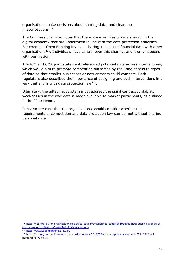organisations make decisions about sharing data, and clears up misconceptions [118.](#page-41-0)

The Commissioner also notes that there are examples of data sharing in the digital economy that are undertaken in line with the data protection principles. For example, Open Banking involves sharing individuals' financial data with other organisations [119.](#page-41-1) Individuals have control over this sharing, and it only happens with permission.

The ICO and CMA joint statement referenced potential data access interventions, which would aim to promote competition outcomes by requiring access to types of data so that smaller businesses or new entrants could compete. Both regulators also described the importance of designing any such interventions in a way that aligns with data protection law <sup>120</sup>.

Ultimately, the adtech ecosystem must address the significant accountability weaknesses in the way data is made available to market participants, as outlined in the 2019 report.

It is also the case that the organisations should consider whether the requirements of competition and data protection law can be met without sharing personal data.

<span id="page-41-0"></span><sup>118</sup> [https://ico.org.uk/for-organisations/guide-to-data-protection/ico-codes-of-practice/data-sharing-a-code-of](https://ico.org.uk/for-organisations/guide-to-data-protection/ico-codes-of-practice/data-sharing-a-code-of-practice/about-this-code/?q=upheld#misconceptions)[practice/about-this-code/?q=upheld#misconceptions](https://ico.org.uk/for-organisations/guide-to-data-protection/ico-codes-of-practice/data-sharing-a-code-of-practice/about-this-code/?q=upheld#misconceptions)

<sup>119</sup> [https://www.openbanking.org.uk/.](https://www.openbanking.org.uk/)

<span id="page-41-2"></span><span id="page-41-1"></span><sup>120</sup> [https://ico.org.uk/media/about-the-ico/documents/2619797/cma-ico-public-statement-20210518.pdf,](https://ico.org.uk/media/about-the-ico/documents/2619797/cma-ico-public-statement-20210518.pdf) paragraphs 70 to 75.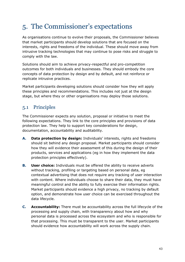# <span id="page-42-0"></span>5. The Commissioner's expectations

As organisations continue to evolve their proposals, the Commissioner believes that market participants should develop solutions that are focused on the interests, rights and freedoms of the individual. These should move away from intrusive tracking technologies that may continue to pose risks and struggle to comply with the law.

Solutions should aim to achieve privacy-respectful and pro-competition outcomes for both individuals and businesses. They should embody the core concepts of data protection by design and by default, and not reinforce or replicate intrusive practices.

Market participants developing solutions should consider how they will apply these principles and recommendations. This includes not just at the design stage, but where they or other organisations may deploy those solutions.

# <span id="page-42-1"></span>5.1 Principles

The Commissioner expects any solution, proposal or initiative to meet the following expectations. They link to the core principles and provisions of data protection law. They help to support key considerations for design, documentation, accountability and auditability.

- **A. Data protection by design:** Individuals' interests, rights and freedoms should sit behind any design proposal. Market participants should consider how they will evidence their assessment of this during the design of their products, services and applications (eg in how they implement the data protection principles effectively).
- **B. User choice:** Individuals must be offered the ability to receive adverts without tracking, profiling or targeting based on personal data, eg contextual advertising that does not require any tracking of user interaction with content. Where individuals choose to share their data, they must have meaningful control and the ability to fully exercise their information rights. Market participants should evidence a high privacy, no tracking by default option, and demonstrate how user choice can be exercised throughout the data lifecycle.
- **C. Accountability:** There must be accountability across the full lifecycle of the processing and supply chain, with transparency about how and why personal data is processed across the ecosystem and who is responsible for that processing. This must be transparent to the user. Market participants should evidence how accountability will work across the supply chain.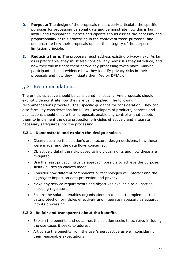- **D. Purpose:** The design of the proposals must clearly articulate the specific purposes for processing personal data and demonstrate how this is fair, lawful and transparent. Market participants should assess the necessity and proportionality of this processing in the context of those purposes, and demonstrate how their proposals uphold the integrity of the purpose limitation principle.
- **E. Reducing harm.** The proposals must address existing privacy risks. As far as is practicable, they must also consider any new risks they introduce, and how they will mitigate them before any processing takes place. Market participants should evidence how they identify privacy risks in their proposals and how they mitigate them (eg by DPIAs).

### <span id="page-43-0"></span>5.2 Recommendations

The principles above should be considered holistically. Any proposals should explicitly demonstrate how they are being applied. The following recommendations provide further specific guidance for consideration. They can also form key considerations for DPIAs. Developers of products, services and applications should ensure their proposals enable any controller that adopts them to implement the data protection principles effectively and integrate necessary safeguards into the processing.

### **5.2.1 Demonstrate and explain the design choices**

- Clearly describe the solution's architectural design decisions, how these were made, and the data flows concerned.
- Objectively detail the risks posed to individual rights and how these are mitigated.
- Use the least privacy intrusive approach possible to achieve the purpose. Justify all design choices made.
- Consider how different components or technologies will interact and the aggregate impact on data protection and privacy.
- Make any service requirements and objectives available to all parties, including regulators.
- Ensure the solution enables organisations that use it to implement the data protection principles effectively and integrate necessary safeguards into its processing.

### **5.2.2 Be fair and transparent about the benefits**

- Explain the benefits and outcomes the solution seeks to achieve, including the use cases it seeks to address.
- Articulate the benefits from the user's perspective as well, considering their reasonable expectations.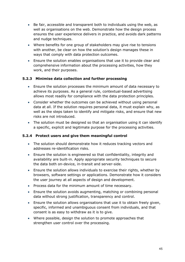- Be fair, accessible and transparent both to individuals using the web, as well as organisations on the web. Demonstrate how the design process ensures the user experience delivers in practice, and avoids dark patterns and nudge techniques.
- Where benefits for one group of stakeholders may give rise to tensions with another, be clear on how the solution's design manages these in ways that comply with data protection outcomes.
- Ensure the solution enables organisations that use it to provide clear and comprehensive information about the processing activities, how they work, and their purposes.

### **5.2.3 Minimise data collection and further processing**

- Ensure the solution processes the minimum amount of data necessary to achieve its purposes. As a general rule, contextual-based advertising allows most readily for compliance with the data protection principles.
- Consider whether the outcomes can be achieved without using personal data at all. If the solution requires personal data, it must explain why, as well as the steps taken to identify and mitigate risks, and ensure that new risks are not introduced.
- The solution must be designed so that an organisation using it can identify a specific, explicit and legitimate purpose for the processing activities.

### **5.2.4 Protect users and give them meaningful control**

- The solution should demonstrate how it reduces tracking vectors and addresses re-identification risks.
- Ensure the solution is engineered so that confidentiality, integrity and availability are built-in. Apply appropriate security techniques to secure the data both on-device, in-transit and server-side.
- Ensure the solution allows individuals to exercise their rights, whether by browsers, software settings or applications. Demonstrate how it considers the user journey at all aspects of design and development.
- Process data for the minimum amount of time necessary.
- Ensure the solution avoids augmenting, matching or combining personal data without strong justification, transparency and control.
- Ensure the solution allows organisations that use it to obtain freely given, specific, informed and unambiguous consent from individuals, and that consent is as easy to withdraw as it is to give.
- Where possible, design the solution to promote approaches that strengthen user control over the processing.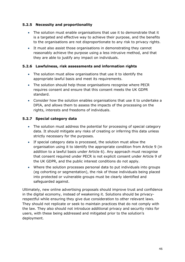### **5.2.5 Necessity and proportionality**

- The solution must enable organisations that use it to demonstrate that it is a targeted and effective way to achieve their purpose, and the benefits to the organisations are not disproportionate to any risk to privacy rights.
- It must also assist those organisations in demonstrating they cannot reasonably achieve the purpose using a less intrusive method, and that they are able to justify any impact on individuals.

### **5.2.6 Lawfulness, risk assessments and information rights**

- The solution must allow organisations that use it to identify the appropriate lawful basis and meet its requirements.
- The solution should help those organisations recognise where PECR requires consent and ensure that this consent meets the UK GDPR standard.
- Consider how the solution enables organisations that use it to undertake a DPIA, and allows them to assess the impacts of the processing on the rights, interests and freedoms of individuals.

### **5.2.7 Special category data**

- The solution must address the potential for processing of special category data. It should mitigate any risks of creating or inferring this data unless strictly necessary for the purposes.
- If special category data is processed, the solution must allow the organisation using it to identify the appropriate condition from Article 9 (in addition to a lawful basis under Article 6). Any approach must recognise that consent required under PECR is not explicit consent under Article 9 of the UK GDPR, and the public interest conditions do not apply.
- Where the solution processes personal data to put individuals into groups (eg cohorting or segmentation), the risk of those individuals being placed into protected or vulnerable groups must be clearly identified and safeguarded against.

Ultimately, new online advertising proposals should improve trust and confidence in the digital economy, instead of weakening it. Solutions should be privacyrespectful while ensuring they give due consideration to other relevant laws. They should not replicate or seek to maintain practices that do not comply with the law. They also should not introduce additional privacy and security risks for users, with these being addressed and mitigated prior to the solution's deployment.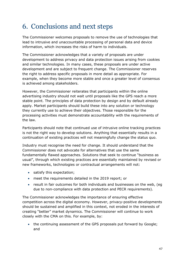# <span id="page-46-0"></span>6. Conclusions and next steps

The Commissioner welcomes proposals to remove the use of technologies that lead to intrusive and unaccountable processing of personal data and device information, which increases the risks of harm to individuals.

The Commissioner acknowledges that a variety of proposals are under development to address privacy and data protection issues arising from cookies and similar technologies. In many cases, these proposals are under active development and are subject to frequent change. The Commissioner reserves the right to address specific proposals in more detail as appropriate. For example, when they become more stable and once a greater level of consensus is achieved among stakeholders.

However, the Commissioner reiterates that participants within the online advertising industry should not wait until proposals like the GPS reach a more stable point. The principles of data protection by design and by default already apply. Market participants should build these into any solution or technology they currently use to achieve their objectives. Those responsible for the processing activities must demonstrate accountability with the requirements of the law.

Participants should note that continued use of intrusive online tracking practices is not the right way to develop solutions. Anything that essentially results in a continuation of existing practices will not meaningfully change the status quo.

Industry must recognise the need for change. It should understand that the Commissioner does not advocate for alternatives that use the same fundamentally flawed approaches. Solutions that seek to continue "business as usual", through which existing practices are essentially maintained by revised or new frameworks, technologies or contractual arrangements will not:

- satisfy this expectation;
- meet the requirements detailed in the 2019 report; or
- result in fair outcomes for both individuals and businesses on the web, (eg due to non-compliance with data protection and PECR requirements).

The Commissioner acknowledges the importance of ensuring effective competition across the digital economy. However, privacy-positive developments should be sustained and amplified in this context, not eroded in the interests of creating "better" market dynamics. The Commissioner will continue to work closely with the CMA on this. For example, by:

• the continuing assessment of the GPS proposals put forward by Google; and